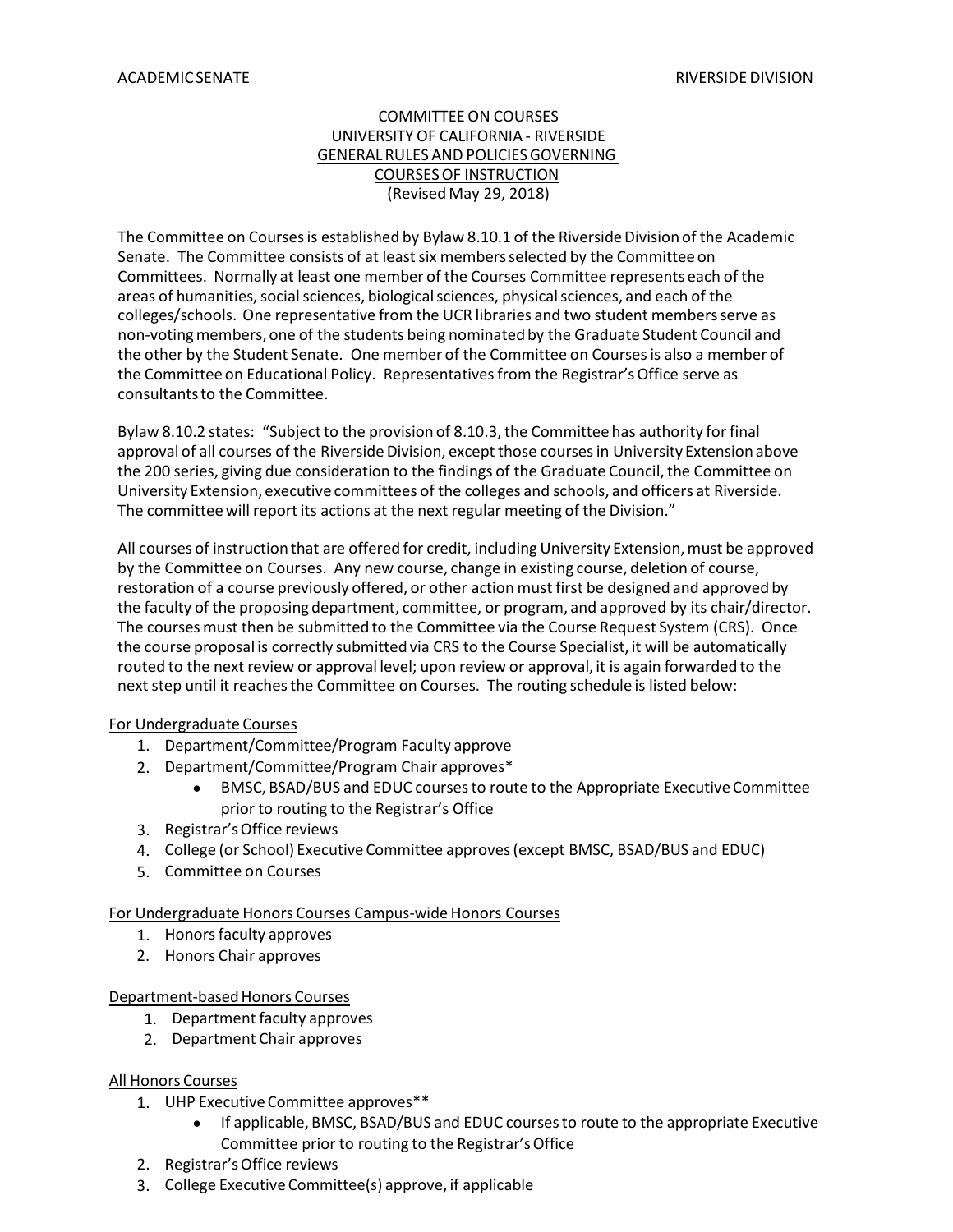#### COMMITTEE ON COURSES UNIVERSITY OF CALIFORNIA - RIVERSIDE GENERAL RULES AND POLICIESGOVERNING COURSES OF INSTRUCTION (Revised May 29, 2018)

The Committee on Courses is established by Bylaw 8.10.1 of the Riverside Division of the Academic Senate. The Committee consists of at least six members selected by the Committee on Committees. Normally at least one member of the Courses Committee represents each of the areas of humanities, social sciences, biological sciences, physical sciences, and each of the colleges/schools. One representative from the UCR libraries and two student membersserve as non-votingmembers,one of the students being nominated by the Graduate Student Council and the other by the Student Senate. One member of the Committee on Coursesis also a member of the Committee on Educational Policy. Representatives from the Registrar's Office serve as consultants to the Committee.

Bylaw 8.10.2 states: "Subject to the provision of 8.10.3, the Committee has authority for final approval of all courses of the Riverside Division, except those courses in University Extension above the 200 series, giving due consideration to the findings of the Graduate Council, the Committee on University Extension, executive committees of the colleges and schools, and officers at Riverside. The committeewill report its actions at the next regular meeting of the Division."

All courses of instruction that are offered for credit, including University Extension, must be approved by the Committee on Courses. Any new course, change in existing course, deletion of course, restoration of a course previously offered, or other action must first be designed and approved by the faculty of the proposing department, committee, or program, and approved by its chair/director. The courses must then be submitted to the Committee via the Course Request System (CRS). Once the course proposal is correctly submittedvia CRS to the Course Specialist, it will be automatically routed to the next review or approval level; upon review or approval, it is again forwarded to the next step until it reaches the Committee on Courses. The routing schedule is listed below:

#### For Undergraduate Courses

- 1. Department/Committee/Program Faculty approve
- 2. Department/Committee/Program Chair approves\*
	- BMSC, BSAD/BUS and EDUC coursesto route to the Appropriate Executive Committee prior to routing to the Registrar's Office
- 3. Registrar'sOffice reviews
- 4. College (or School) Executive Committee approves(except BMSC, BSAD/BUS and EDUC)
- 5. Committee on Courses

#### For Undergraduate Honors Courses Campus-wide Honors Courses

- 1. Honorsfaculty approves
- 2. Honors Chair approves

#### Department-based Honors Courses

- 1. Department faculty approves
- 2. Department Chair approves

#### All Honors Courses

- 1. UHP Executive Committee approves\*\*
	- If applicable, BMSC, BSAD/BUS and EDUC coursesto route to the appropriate Executive Committee prior to routing to the Registrar'sOffice
- 2. Registrar'sOffice reviews
- 3. College Executive Committee(s) approve, if applicable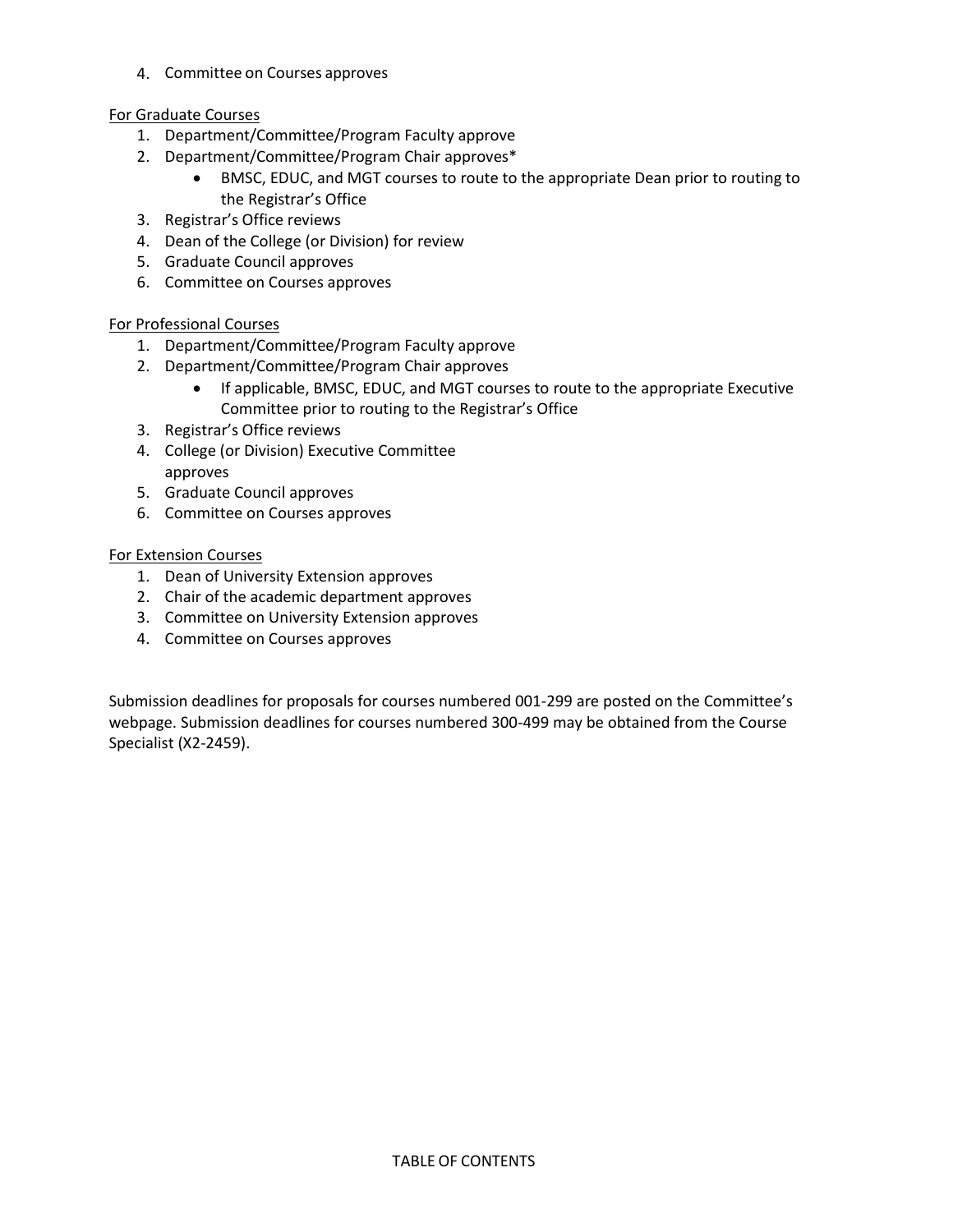4. Committee on Courses approves

#### For Graduate Courses

- 1. Department/Committee/Program Faculty approve
- 2. Department/Committee/Program Chair approves\*
	- BMSC, EDUC, and MGT courses to route to the appropriate Dean prior to routing to the Registrar's Office
- 3. Registrar's Office reviews
- 4. Dean of the College (or Division) for review
- 5. Graduate Council approves
- 6. Committee on Courses approves

#### For Professional Courses

- 1. Department/Committee/Program Faculty approve
- 2. Department/Committee/Program Chair approves
	- If applicable, BMSC, EDUC, and MGT courses to route to the appropriate Executive Committee prior to routing to the Registrar's Office
- 3. Registrar's Office reviews
- 4. College (or Division) Executive Committee approves
- 5. Graduate Council approves
- 6. Committee on Courses approves

#### For Extension Courses

- 1. Dean of University Extension approves
- 2. Chair of the academic department approves
- 3. Committee on University Extension approves
- 4. Committee on Courses approves

Submission deadlines for proposals for courses numbered 001-299 are posted on the Committee's webpage. Submission deadlines for courses numbered 300-499 may be obtained from the Course Specialist (X2-2459).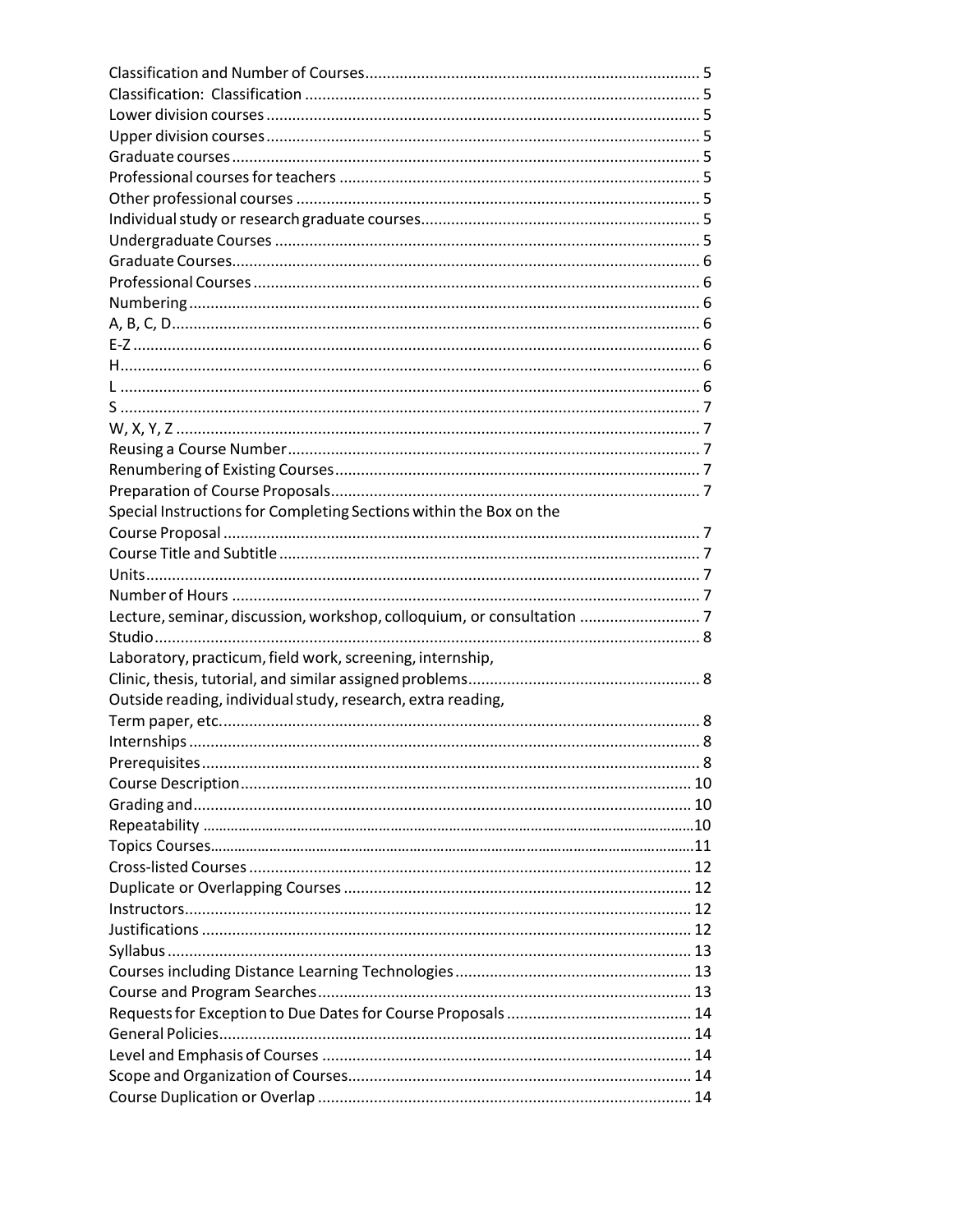| Special Instructions for Completing Sections within the Box on the    |  |
|-----------------------------------------------------------------------|--|
|                                                                       |  |
|                                                                       |  |
|                                                                       |  |
|                                                                       |  |
| Lecture, seminar, discussion, workshop, colloquium, or consultation 7 |  |
|                                                                       |  |
| Laboratory, practicum, field work, screening, internship,             |  |
|                                                                       |  |
| Outside reading, individual study, research, extra reading,           |  |
|                                                                       |  |
|                                                                       |  |
|                                                                       |  |
|                                                                       |  |
|                                                                       |  |
|                                                                       |  |
|                                                                       |  |
|                                                                       |  |
|                                                                       |  |
|                                                                       |  |
|                                                                       |  |
|                                                                       |  |
|                                                                       |  |
|                                                                       |  |
|                                                                       |  |
|                                                                       |  |
|                                                                       |  |
|                                                                       |  |
|                                                                       |  |
|                                                                       |  |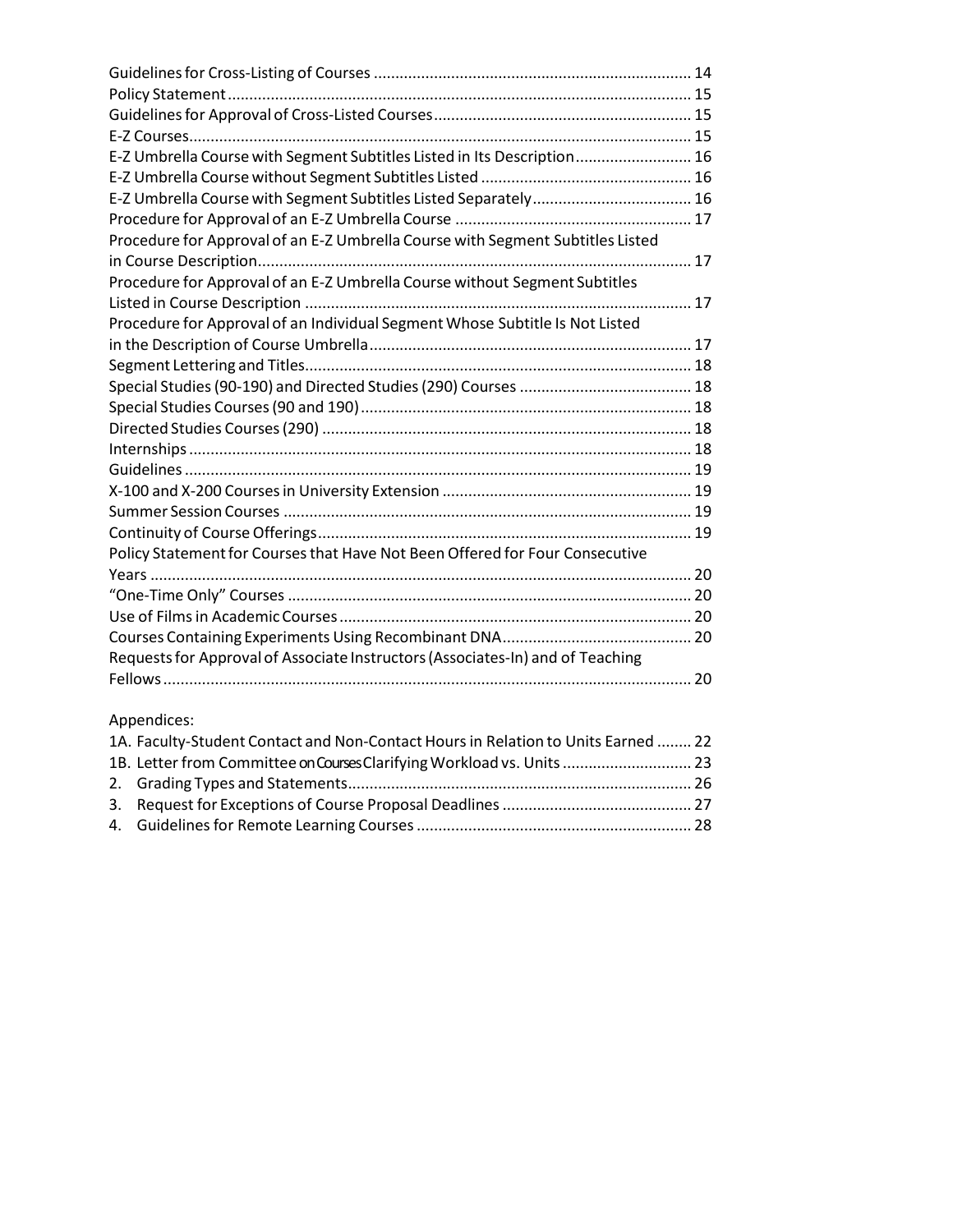| E-Z Umbrella Course with Segment Subtitles Listed in Its Description 16        |  |
|--------------------------------------------------------------------------------|--|
|                                                                                |  |
|                                                                                |  |
|                                                                                |  |
| Procedure for Approval of an E-Z Umbrella Course with Segment Subtitles Listed |  |
|                                                                                |  |
| Procedure for Approval of an E-Z Umbrella Course without Segment Subtitles     |  |
|                                                                                |  |
| Procedure for Approval of an Individual Segment Whose Subtitle Is Not Listed   |  |
|                                                                                |  |
|                                                                                |  |
|                                                                                |  |
|                                                                                |  |
|                                                                                |  |
|                                                                                |  |
|                                                                                |  |
|                                                                                |  |
|                                                                                |  |
|                                                                                |  |
| Policy Statement for Courses that Have Not Been Offered for Four Consecutive   |  |
|                                                                                |  |
|                                                                                |  |
|                                                                                |  |
|                                                                                |  |
| Requests for Approval of Associate Instructors (Associates-In) and of Teaching |  |
|                                                                                |  |

# Appendices:

| 1A. Faculty-Student Contact and Non-Contact Hours in Relation to Units Earned  22 |  |
|-----------------------------------------------------------------------------------|--|
| 1B. Letter from Committee on Courses Clarifying Workload vs. Units  23            |  |
|                                                                                   |  |
|                                                                                   |  |
|                                                                                   |  |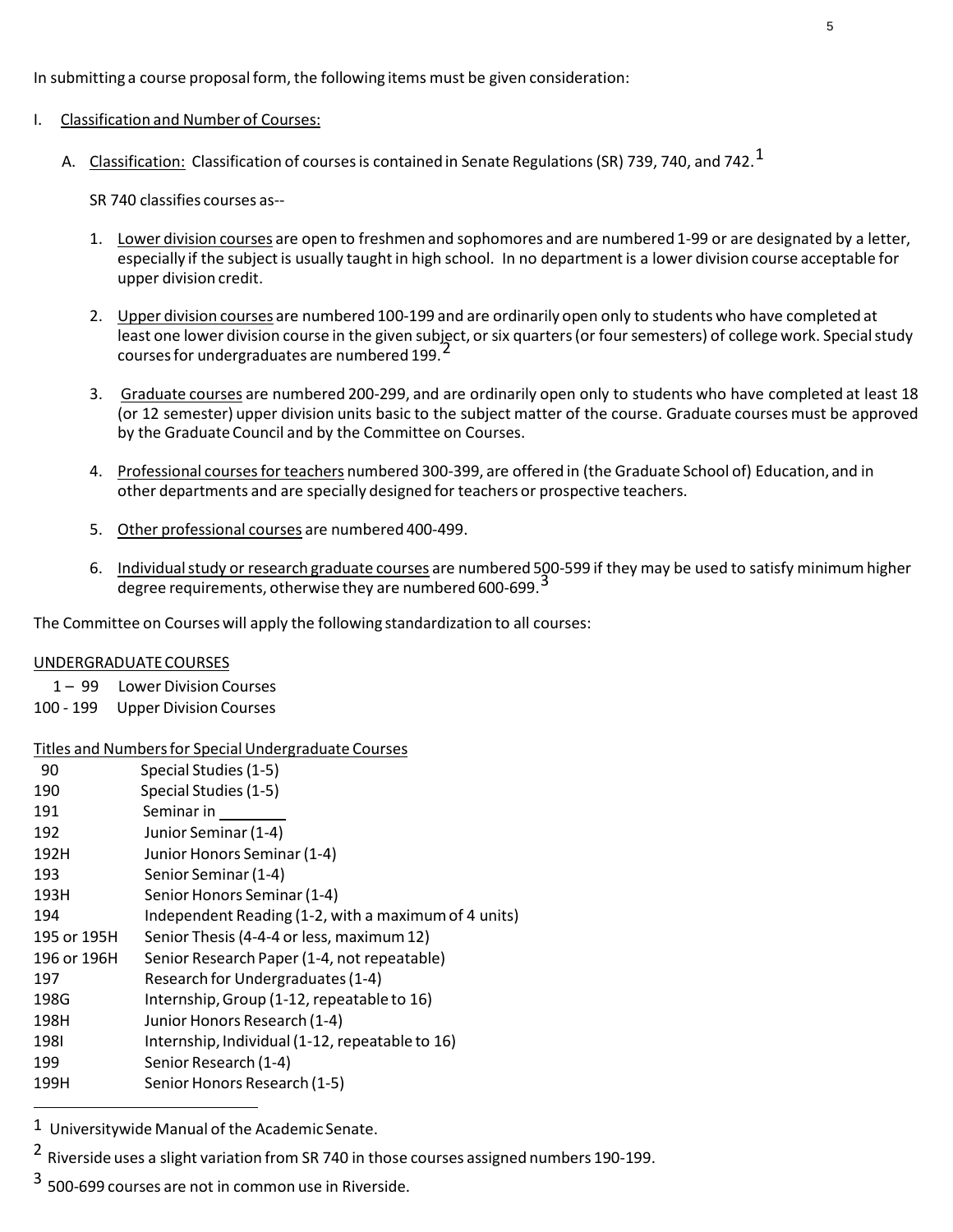In submitting a course proposal form, the following items must be given consideration:

#### I. Classification and Number of Courses:

A.  $\,$  <u>Classification:</u> Classification of courses is contained in Senate Regulations (SR) 739, 740, and 742.  $^1$ 

SR 740 classifies courses as--

- 1. Lower division courses are open to freshmen and sophomores and are numbered 1-99 or are designated by a letter, especially if the subject is usually taught in high school. In no department is a lower division course acceptable for upper division credit.
- 2. Upper division courses are numbered 100-199 and are ordinarily open only to students who have completed at least one lower division course in the given subject, or six quarters (or four semesters) of college work. Special study courses for undergraduates are numbered 199.
- 3. Graduate courses are numbered 200-299, and are ordinarily open only to students who have completed at least 18 (or 12 semester) upper division units basic to the subject matter of the course. Graduate courses must be approved by the Graduate Council and by the Committee on Courses.
- 4. Professional coursesfor teachers numbered 300-399, are offered in (the Graduate School of) Education, and in other departments and are specially designed for teachers or prospective teachers.
- 5. Other professional courses are numbered 400-499.
- 6. Individual study or research graduate courses are numbered 500-599 if they may be used to satisfy minimum higher degree requirements, otherwise they are numbered 600-699.<sup>3</sup>

The Committee on Courses will apply the following standardization to all courses:

#### UNDERGRADUATECOURSES

1 – 99 Lower Division Courses

100 - 199 Upper Division Courses

#### Titles and Numbersfor Special Undergraduate Courses

| 90          | Special Studies (1-5)                                |
|-------------|------------------------------------------------------|
| 190         | Special Studies (1-5)                                |
| 191         | Seminar in                                           |
| 192         | Junior Seminar (1-4)                                 |
| 192H        | Junior Honors Seminar (1-4)                          |
| 193         | Senior Seminar (1-4)                                 |
| 193H        | Senior Honors Seminar (1-4)                          |
| 194         | Independent Reading (1-2, with a maximum of 4 units) |
| 195 or 195H | Senior Thesis (4-4-4 or less, maximum 12)            |
| 196 or 196H | Senior Research Paper (1-4, not repeatable)          |
| 197         | Research for Undergraduates (1-4)                    |
| 198G        | Internship, Group (1-12, repeatable to 16)           |
| 198H        | Junior Honors Research (1-4)                         |
| 1981        | Internship, Individual (1-12, repeatable to 16)      |
| 199         | Senior Research (1-4)                                |
| 199H        | Senior Honors Research (1-5)                         |
|             |                                                      |

<sup>1</sup> Universitywide Manual of the Academic Senate.

<sup>2</sup> Riverside uses a slight variation from SR 740 in those courses assigned numbers 190-199.

<sup>3</sup> 500-699 courses are not in common use in Riverside.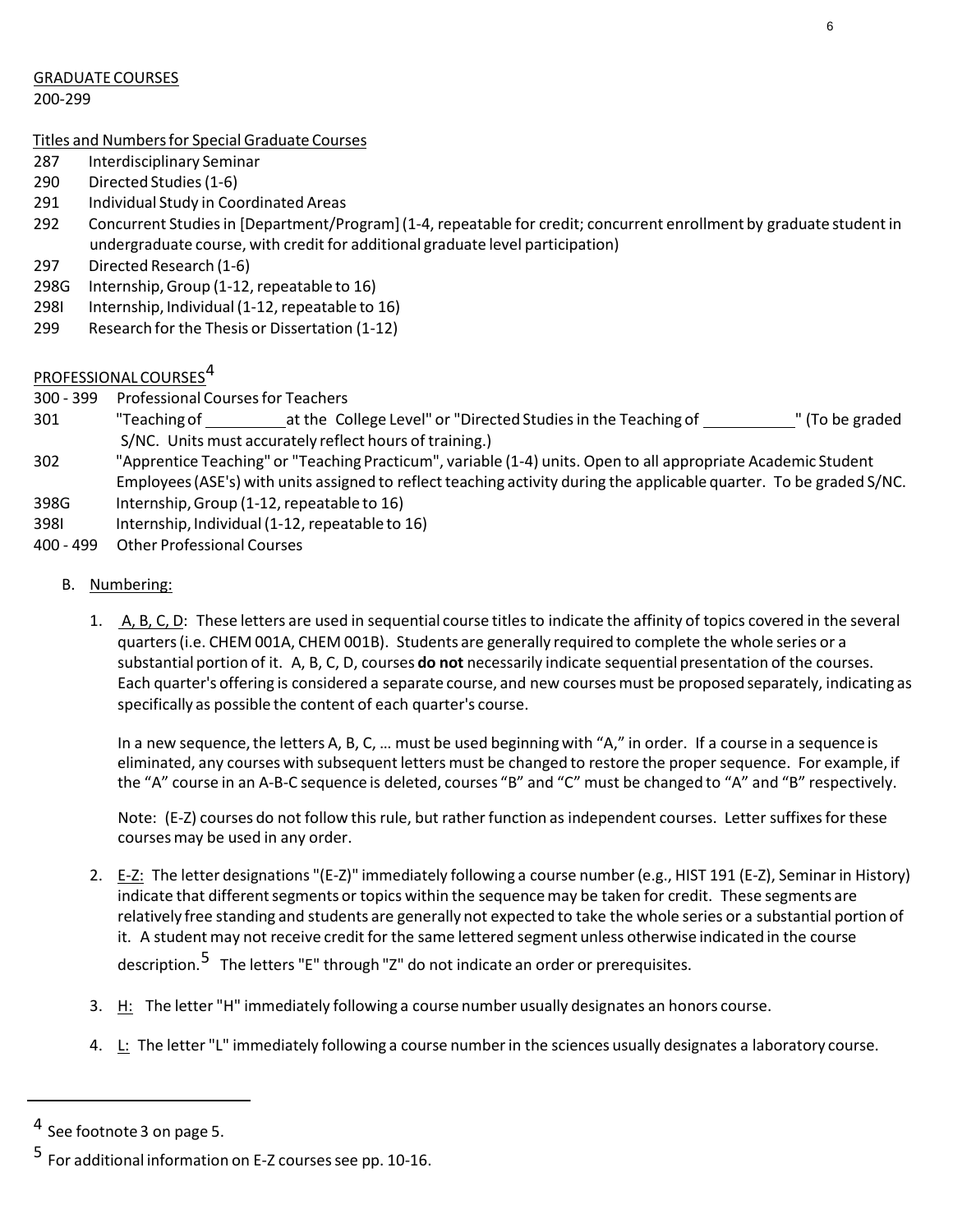#### GRADUATE COURSES

200-299

#### Titles and Numbersfor Special Graduate Courses

- 287 Interdisciplinary Seminar
- 290 Directed Studies(1-6)
- 291 Individual Study in Coordinated Areas
- 292 Concurrent Studiesin [Department/Program](1-4, repeatable for credit; concurrent enrollment by graduate studentin undergraduate course, with credit for additional graduate level participation)
- 297 Directed Research (1-6)
- 298G Internship,Group (1-12, repeatable to 16)
- 298I Internship, Individual (1-12, repeatable to 16)
- 299 Research for the Thesis or Dissertation (1-12)

# PROFESSIONAL COURSES 4

- 300 399 Professional Coursesfor Teachers
- 301 "Teaching of at the College Level" or "Directed Studiesin the Teaching of " (To be graded S/NC. Units must accurately reflect hours of training.)
- 302 "Apprentice Teaching" or "Teaching Practicum", variable (1-4) units. Open to all appropriate Academic Student Employees (ASE's) with units assigned to reflect teaching activity during the applicable quarter. To be graded S/NC.
- 398G Internship,Group (1-12, repeatable to 16)
- 398I Internship, Individual(1-12, repeatable to 16)
- 400 499 Other Professional Courses

#### B. Numbering:

1. A, B, C, D: These letters are used in sequential course titles to indicate the affinity of topics covered in the several quarters(i.e. CHEM 001A, CHEM 001B). Students are generally required to complete the whole series or a substantial portion of it. A, B, C, D, courses **do not** necessarily indicate sequential presentation of the courses. Each quarter's offering is considered a separate course, and new coursesmust be proposed separately, indicating as specifically as possible the content of each quarter's course.

In a new sequence, the letters A, B, C, ... must be used beginning with "A," in order. If a course in a sequence is eliminated, any courses with subsequent letters must be changed to restore the proper sequence. For example, if the "A" course in an A-B-C sequence is deleted, courses "B" and "C" must be changed to "A" and "B" respectively.

Note: (E-Z) courses do not follow this rule, but rather function as independent courses. Letter suffixes for these courses may be used in any order.

- 2. E-Z: The letter designations "(E-Z)" immediately following a course number(e.g., HIST 191 (E-Z), Seminarin History) indicate that different segments or topics within the sequence may be taken for credit. These segments are relatively free standing and students are generally not expected to take the whole series or a substantial portion of it. A student may not receive credit for the same lettered segment unless otherwise indicated in the course description.<sup>5</sup> The letters "E" through "Z" do not indicate an order or prerequisites.
- 3. H: The letter "H" immediately following a course number usually designates an honors course.
- 4. L: The letter "L" immediately following a course numberin the sciences usually designates a laboratory course.

<sup>&</sup>lt;sup>4</sup> See footnote 3 on page 5.

<sup>5</sup> For additional information on E-Z coursessee pp. 10-16.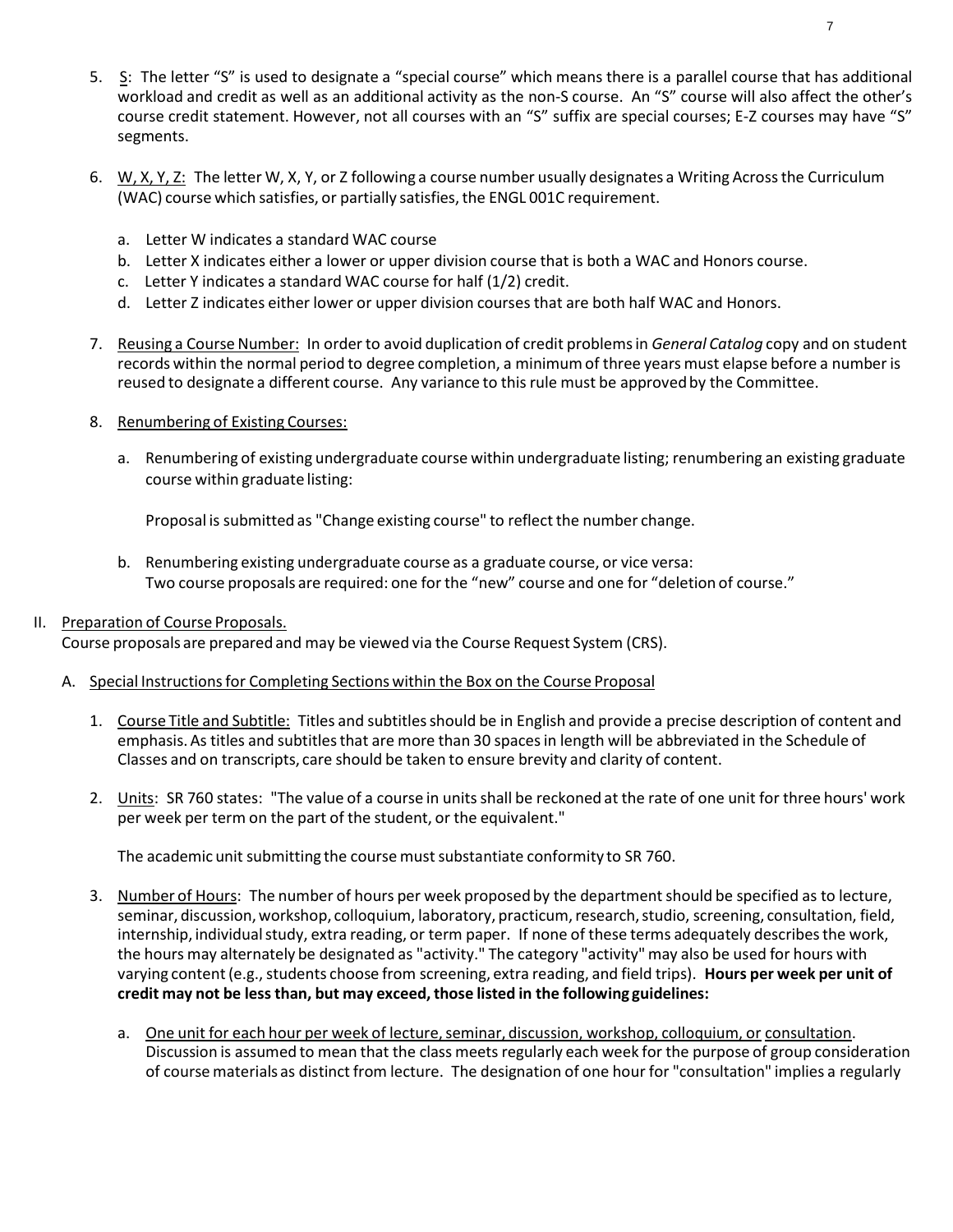- 5. S: The letter "S" is used to designate a "special course" which means there is a parallel course that has additional workload and credit as well as an additional activity as the non-S course. An "S" course will also affect the other's course credit statement. However, not all courses with an "S" suffix are special courses; E-Z courses may have "S" segments.
- 6. W, X, Y, Z: The letter W, X, Y, or Z following a course number usually designates a Writing Across the Curriculum (WAC) course which satisfies, or partially satisfies,the ENGL 001C requirement.
	- a. Letter W indicates a standard WAC course
	- b. Letter X indicates either a lower or upper division course that is both a WAC and Honors course.
	- c. Letter Y indicates a standard WAC course for half (1/2) credit.
	- d. Letter Z indicates either lower or upper division courses that are both half WAC and Honors.
- 7. Reusing a Course Number: In order to avoid duplication of credit problems in *General Catalog* copy and on student records within the normal period to degree completion, a minimumof three years must elapse before a number is reused to designate a different course. Any variance to this rule must be approvedby the Committee.
- 8. Renumbering of Existing Courses:
	- a. Renumbering of existing undergraduate course within undergraduate listing; renumbering an existing graduate course within graduate listing:

Proposal is submitted as "Change existing course" to reflect the number change.

- b. Renumbering existing undergraduate course as a graduate course, or vice versa: Two course proposals are required: one for the "new" course and one for "deletion of course."
- II. Preparation of Course Proposals.

Course proposals are prepared and may be viewed via the Course Request System (CRS).

- A. Special Instructions for Completing Sections within the Box on the Course Proposal
	- 1. Course Title and Subtitle: Titles and subtitles should be in English and provide a precise description of content and emphasis. As titles and subtitles that are more than 30 spaces in length will be abbreviated in the Schedule of Classes and on transcripts, care should be taken to ensure brevity and clarity of content.
	- 2. Units: SR 760 states: "The value of a course in units shall be reckoned at the rate of one unit for three hours' work per week per term on the part of the student, or the equivalent."

The academic unit submitting the course mustsubstantiate conformity to SR 760.

- 3. Number of Hours: The number of hours per week proposed by the departmentshould be specified as to lecture, seminar, discussion, workshop, colloquium, laboratory, practicum, research, studio, screening, consultation, field, internship, individual study, extra reading, or term paper. If none of these terms adequately describes the work, the hours may alternately be designated as "activity." The category "activity"may also be used for hours with varying content (e.g., students choose from screening, extra reading, and field trips). Hours per week per unit of **credit may not be less than, but may exceed,those listed in the following guidelines:**
	- a. One unit for each hour per week of lecture, seminar, discussion, workshop, colloquium, or consultation. Discussion is assumed to mean that the class meets regularly each week for the purpose of group consideration of course materials as distinct from lecture. The designation of one hour for "consultation" implies a regularly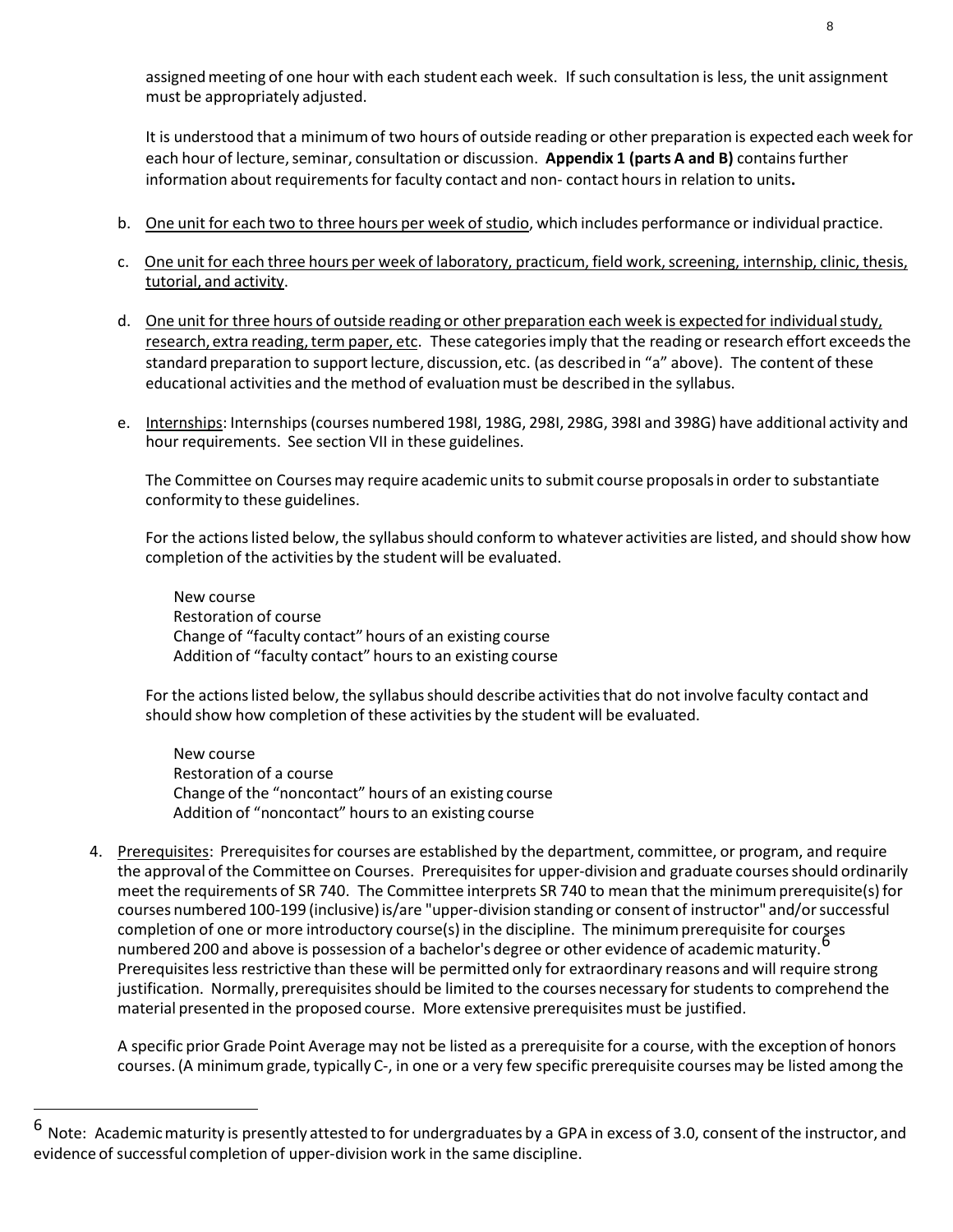It is understood that a minimumof two hours of outside reading or other preparation is expected each week for each hour of lecture,seminar, consultation or discussion. **Appendix 1 (parts A and B)** containsfurther information about requirements for faculty contact and non- contact hours in relation to units.

- b. One unit for each two to three hours per week of studio, which includes performance or individual practice.
- c. One unit for each three hours per week of laboratory, practicum, field work, screening, internship, clinic, thesis, tutorial, and activity.
- d. One unit for three hours of outside reading or other preparation each week is expected for individual study, research, extra reading, term paper, etc. These categories imply that the reading or research effort exceeds the standard preparation to support lecture, discussion, etc. (as described in "a" above). The content of these educational activities and the method of evaluationmust be described in the syllabus.
- e. Internships: Internships(courses numbered 198I, 198G, 298I, 298G, 398I and 398G) have additional activity and hour requirements. See section VII in these guidelines.

The Committee on Courses may require academic units to submit course proposals in order to substantiate conformity to these guidelines.

For the actions listed below, the syllabus should conform to whatever activities are listed, and should show how completion of the activities by the student will be evaluated.

New course Restoration of course Change of "faculty contact" hours of an existing course Addition of "faculty contact" hours to an existing course

For the actions listed below, the syllabus should describe activities that do not involve faculty contact and should show how completion of these activities by the student will be evaluated.

New course Restoration of a course Change of the "noncontact" hours of an existing course Addition of "noncontact" hours to an existing course

4. Prerequisites: Prerequisites for courses are established by the department, committee, or program, and require the approval of the Committee on Courses. Prerequisitesfor upper-division and graduate coursesshould ordinarily meet the requirements of SR 740. The Committee interprets SR 740 to mean that the minimumprerequisite(s) for courses numbered 100-199 (inclusive)is/are "upper-division standing or consent of instructor" and/orsuccessful completion of one or more introductory course(s) in the discipline. The minimumprerequisite for courses empression of the of more indicated by course, which also prince the imminism proceptions for course,  $\overline{6}$ Prerequisites less restrictive than these will be permitted only for extraordinary reasons and will require strong justification. Normally, prerequisites should be limited to the courses necessary for students to comprehend the material presented in the proposed course. More extensive prerequisites must be justified.

A specific prior Grade Point Average may not be listed as a prerequisite for a course, with the exception of honors courses.(A minimumgrade, typically C-, in one or a very few specific prerequisite coursesmay be listed among the

 $6$  Note: Academic maturity is presently attested to for undergraduates by a GPA in excess of 3.0, consent of the instructor, and evidence of successful completion of upper-division work in the same discipline.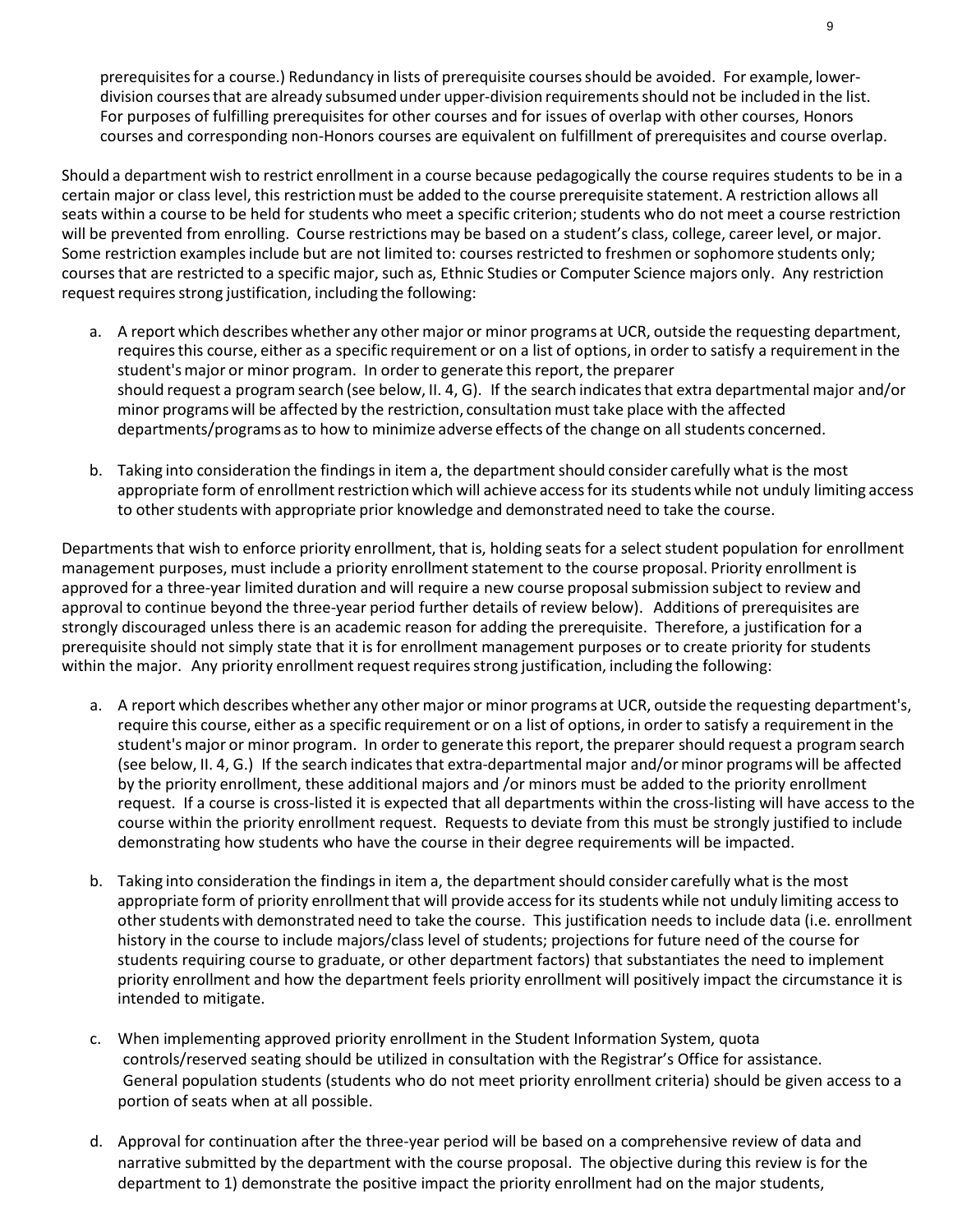prerequisites for a course.) Redundancy in lists of prerequisite courses should be avoided. For example, lowerdivision coursesthat are already subsumed under upper-division requirementsshould not be included in the list. For purposes of fulfilling prerequisites for other courses and for issues of overlap with other courses, Honors courses and corresponding non-Honors courses are equivalent on fulfillment of prerequisites and course overlap.

Should a department wish to restrict enrollment in a course because pedagogically the course requires students to be in a certain major or class level, this restrictionmust be added to the course prerequisite statement. A restriction allows all seats within a course to be held for students who meet a specific criterion; students who do not meet a course restriction will be prevented from enrolling. Course restrictions may be based on a student's class, college, career level, or major. Some restriction examples include but are not limited to: courses restricted to freshmen or sophomore students only; coursesthat are restricted to a specific major, such as, Ethnic Studies or Computer Science majors only. Any restriction request requires strong justification, including the following:

- a. A report which describes whether any other major or minor programs at UCR, outside the requesting department, requiresthis course, either as a specific requirement or on a list of options, in order to satisfy a requirementin the student'smajor or minor program. In order to generate this report, the preparer should request a programsearch (see below, II. 4, G). If the search indicatesthat extra departmental major and/or minor programswill be affected by the restriction, consultation must take place with the affected departments/programs as to how to minimize adverse effects of the change on all students concerned.
- b. Taking into consideration the findings in item a, the department should consider carefully what is the most appropriate form of enrollment restriction which will achieve access for its students while not unduly limiting access to other students with appropriate prior knowledge and demonstrated need to take the course.

Departments that wish to enforce priority enrollment, that is, holding seats for a select student population for enrollment management purposes, must include a priority enrollment statement to the course proposal. Priority enrollment is approved for a three-year limited duration and will require a new course proposalsubmission subject to review and approval to continue beyond the three-year period further details of review below). Additions of prerequisites are strongly discouraged unless there is an academic reason for adding the prerequisite. Therefore, a justification for a prerequisite should not simply state that it is for enrollment management purposes or to create priority for students within the major. Any priority enrollment request requires strong justification, including the following:

- a. A report which describes whether any other major or minor programs at UCR, outside the requesting department's, require this course, either as a specific requirement or on a list of options, in orderto satisfy a requirementin the student'smajor or minor program. In order to generate this report, the preparer should request a programsearch (see below, II. 4, G.) If the search indicatesthat extra-departmental major and/or minor programswill be affected by the priority enrollment, these additional majors and /or minors must be added to the priority enrollment request. If a course is cross-listed it is expected that all departments within the cross-listing will have access to the course within the priority enrollment request. Requests to deviate from this must be strongly justified to include demonstrating how students who have the course in their degree requirements will be impacted.
- b. Taking into consideration the findings in item a, the department should consider carefully what is the most appropriate form of priority enrollment that will provide access for its students while not unduly limiting access to other students with demonstrated need to take the course. This justification needs to include data (i.e. enrollment history in the course to include majors/class level of students; projections for future need of the course for students requiring course to graduate, or other department factors) that substantiates the need to implement priority enrollment and how the department feels priority enrollment will positively impact the circumstance it is intended to mitigate.
- c. When implementing approved priority enrollment in the Student Information System, quota controls/reserved seating should be utilized in consultation with the Registrar's Office for assistance. General population students (students who do not meet priority enrollment criteria) should be given access to a portion of seats when at all possible.
- d. Approval for continuation after the three-year period will be based on a comprehensive review of data and narrative submitted by the department with the course proposal. The objective during this review is for the department to 1) demonstrate the positive impact the priority enrollment had on the major students,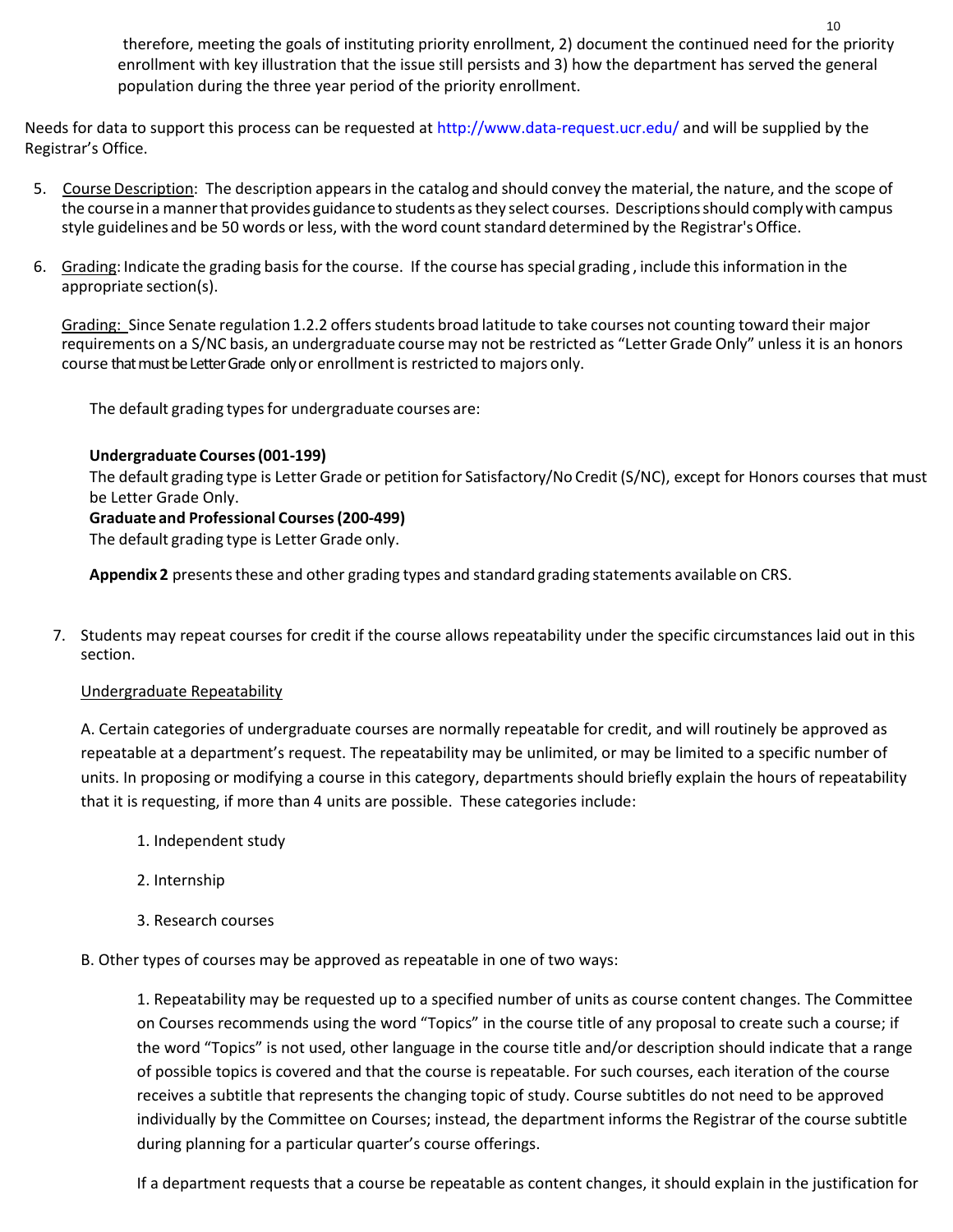therefore, meeting the goals of instituting priority enrollment, 2) document the continued need for the priority enrollment with key illustration that the issue still persists and 3) how the department has served the general population during the three year period of the priority enrollment.

Needs for data to support this process can be requested at<http://www.data-request.ucr.edu/> and will be supplied by the Registrar's Office.

- 5. Course Description: The description appears in the catalog and should convey the material, the nature, and the scope of the course in a manner that provides guidance to students as they select courses. Descriptions should comply with campus style guidelines and be 50 words or less, with the word count standard determined by the Registrar's Office.
- 6. Grading: Indicate the grading basisfor the course. If the course has special grading , include this information in the appropriate section(s).

Grading: Since Senate regulation 1.2.2 offers students broad latitude to take courses not counting toward their major requirements on a S/NC basis, an undergraduate course may not be restricted as "Letter Grade Only" unless it is an honors course that must be Letter Grade only or enrollment is restricted to majors only.

The default grading types for undergraduate courses are:

#### **Undergraduate Courses(001-199)**

The default grading type is Letter Grade or petition for Satisfactory/No Credit (S/NC), except for Honors courses that must be Letter Grade Only.

#### **Graduate and Professional Courses(200-499)**

The default grading type is Letter Grade only.

Appendix 2 presents these and other grading types and standard grading statements available on CRS.

7. Students may repeat courses for credit if the course allows repeatability under the specific circumstances laid out in this section.

#### Undergraduate Repeatability

A. Certain categories of undergraduate courses are normally repeatable for credit, and will routinely be approved as repeatable at a department's request. The repeatability may be unlimited, or may be limited to a specific number of units. In proposing or modifying a course in this category, departments should briefly explain the hours of repeatability that it is requesting, if more than 4 units are possible. These categories include:

- 1. Independent study
- 2. Internship
- 3. Research courses

B. Other types of courses may be approved as repeatable in one of two ways:

1. Repeatability may be requested up to a specified number of units as course content changes. The Committee on Courses recommends using the word "Topics" in the course title of any proposal to create such a course; if the word "Topics" is not used, other language in the course title and/or description should indicate that a range of possible topics is covered and that the course is repeatable. For such courses, each iteration of the course receives a subtitle that represents the changing topic of study. Course subtitles do not need to be approved individually by the Committee on Courses; instead, the department informs the Registrar of the course subtitle during planning for a particular quarter's course offerings.

If a department requests that a course be repeatable as content changes, it should explain in the justification for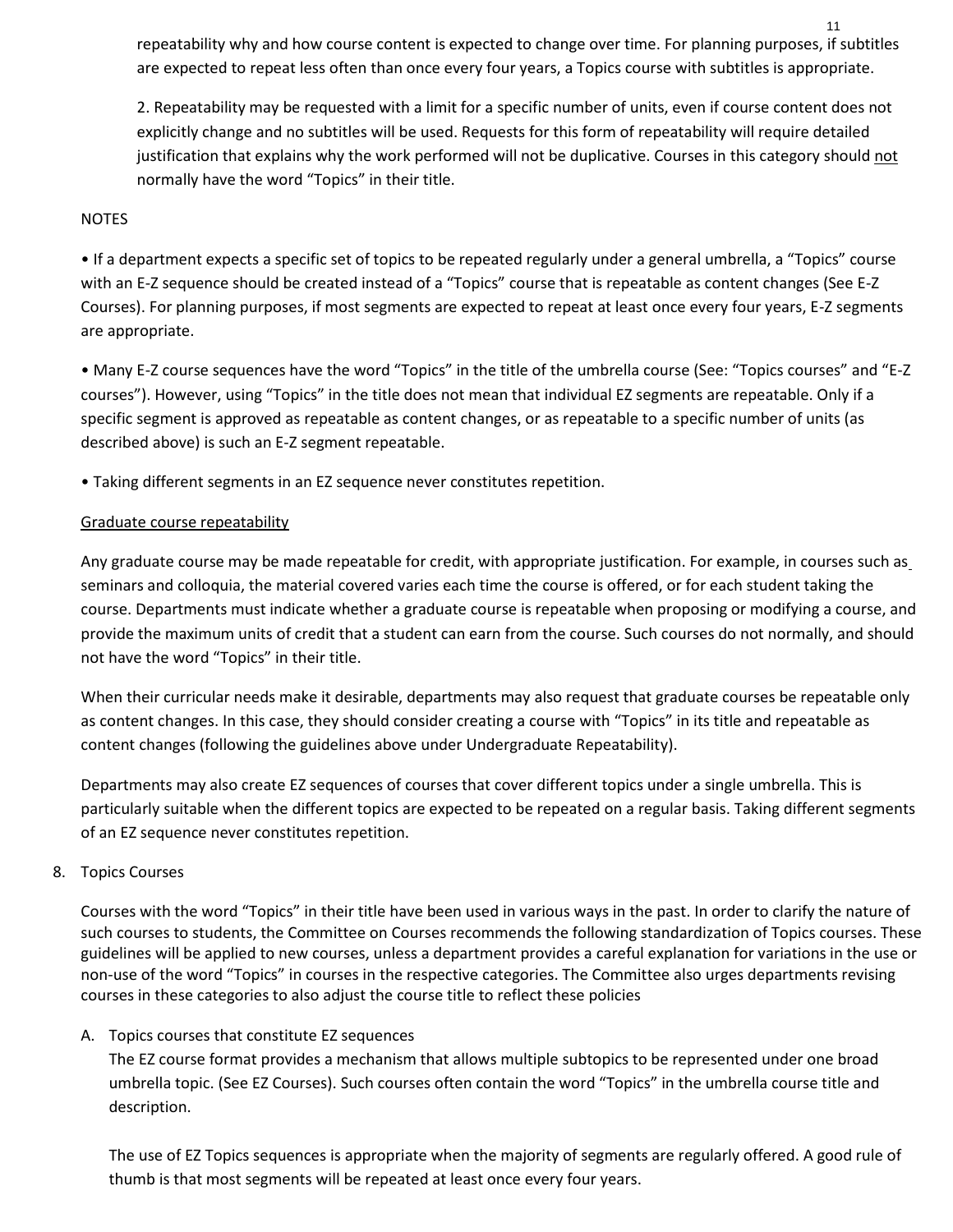repeatability why and how course content is expected to change over time. For planning purposes, if subtitles are expected to repeat less often than once every four years, a Topics course with subtitles is appropriate.

2. Repeatability may be requested with a limit for a specific number of units, even if course content does not explicitly change and no subtitles will be used. Requests for this form of repeatability will require detailed justification that explains why the work performed will not be duplicative. Courses in this category should not normally have the word "Topics" in their title.

#### NOTES

• If a department expects a specific set of topics to be repeated regularly under a general umbrella, a "Topics" course with an E-Z sequence should be created instead of a "Topics" course that is repeatable as content changes (See E-Z Courses). For planning purposes, if most segments are expected to repeat at least once every four years, E-Z segments are appropriate.

• Many E-Z course sequences have the word "Topics" in the title of the umbrella course (See: "Topics courses" and "E-Z courses"). However, using "Topics" in the title does not mean that individual EZ segments are repeatable. Only if a specific segment is approved as repeatable as content changes, or as repeatable to a specific number of units (as described above) is such an E-Z segment repeatable.

• Taking different segments in an EZ sequence never constitutes repetition.

#### Graduate course repeatability

Any graduate course may be made repeatable for credit, with appropriate justification. For example, in courses such as seminars and colloquia, the material covered varies each time the course is offered, or for each student taking the course. Departments must indicate whether a graduate course is repeatable when proposing or modifying a course, and provide the maximum units of credit that a student can earn from the course. Such courses do not normally, and should not have the word "Topics" in their title.

When their curricular needs make it desirable, departments may also request that graduate courses be repeatable only as content changes. In this case, they should consider creating a course with "Topics" in its title and repeatable as content changes (following the guidelines above under Undergraduate Repeatability).

Departments may also create EZ sequences of courses that cover different topics under a single umbrella. This is particularly suitable when the different topics are expected to be repeated on a regular basis. Taking different segments of an EZ sequence never constitutes repetition.

#### 8. Topics Courses

Courses with the word "Topics" in their title have been used in various ways in the past. In order to clarify the nature of such courses to students, the Committee on Courses recommends the following standardization of Topics courses. These guidelines will be applied to new courses, unless a department provides a careful explanation for variations in the use or non-use of the word "Topics" in courses in the respective categories. The Committee also urges departments revising courses in these categories to also adjust the course title to reflect these policies

#### A. Topics courses that constitute EZ sequences

The EZ course format provides a mechanism that allows multiple subtopics to be represented under one broad umbrella topic. (See EZ Courses). Such courses often contain the word "Topics" in the umbrella course title and description.

The use of EZ Topics sequences is appropriate when the majority of segments are regularly offered. A good rule of thumb is that most segments will be repeated at least once every four years.

11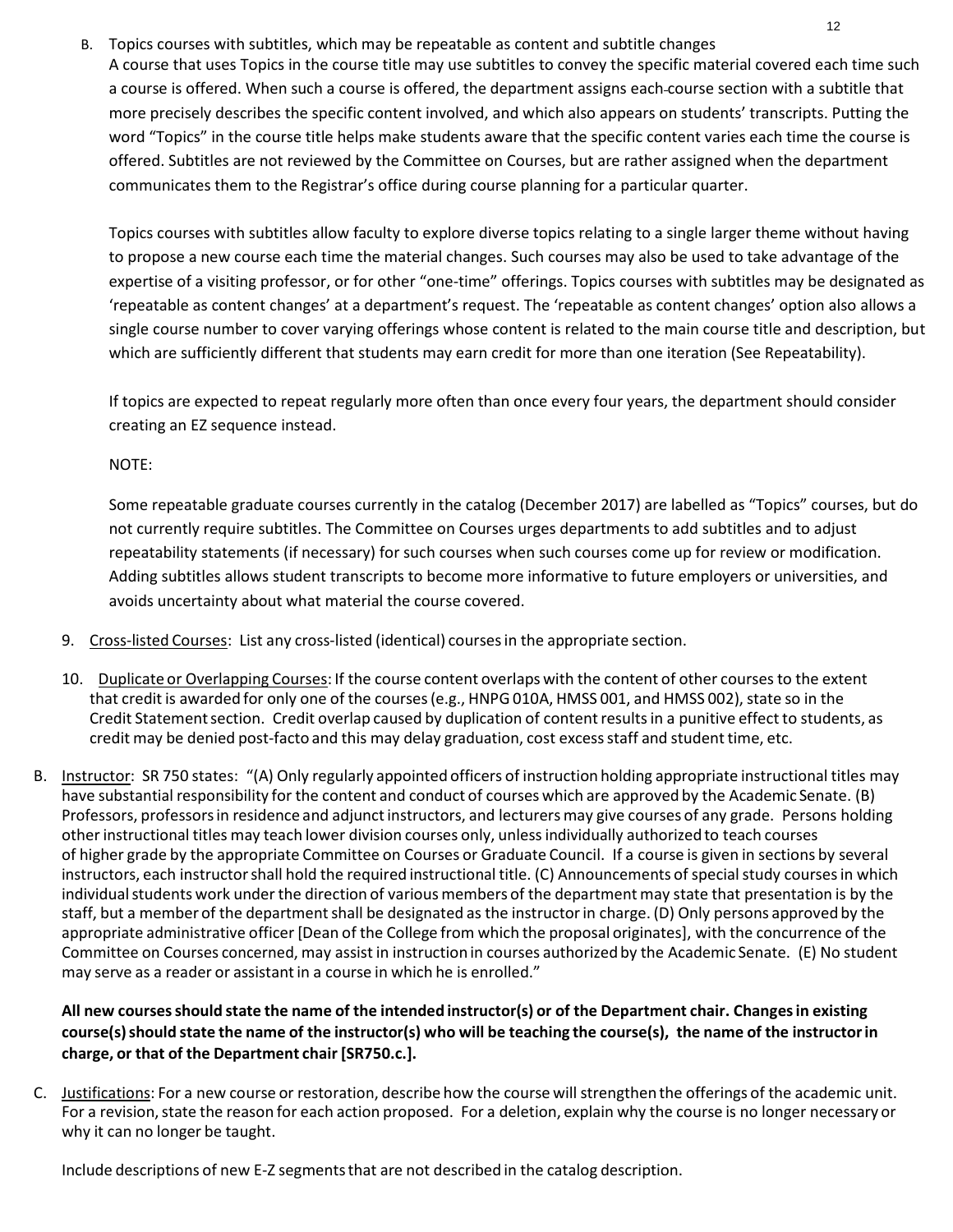B. Topics courses with subtitles, which may be repeatable as content and subtitle changes

A course that uses Topics in the course title may use subtitles to convey the specific material covered each time such a course is offered. When such a course is offered, the department assigns each course section with a subtitle that more precisely describes the specific content involved, and which also appears on students' transcripts. Putting the word "Topics" in the course title helps make students aware that the specific content varies each time the course is offered. Subtitles are not reviewed by the Committee on Courses, but are rather assigned when the department communicates them to the Registrar's office during course planning for a particular quarter.

Topics courses with subtitles allow faculty to explore diverse topics relating to a single larger theme without having to propose a new course each time the material changes. Such courses may also be used to take advantage of the expertise of a visiting professor, or for other "one-time" offerings. Topics courses with subtitles may be designated as 'repeatable as content changes' at a department's request. The 'repeatable as content changes' option also allows a single course number to cover varying offerings whose content is related to the main course title and description, but which are sufficiently different that students may earn credit for more than one iteration (See Repeatability).

If topics are expected to repeat regularly more often than once every four years, the department should consider creating an EZ sequence instead.

NOTE:

Some repeatable graduate courses currently in the catalog (December 2017) are labelled as "Topics" courses, but do not currently require subtitles. The Committee on Courses urges departments to add subtitles and to adjust repeatability statements (if necessary) for such courses when such courses come up for review or modification. Adding subtitles allows student transcripts to become more informative to future employers or universities, and avoids uncertainty about what material the course covered.

- 9. Cross-listed Courses: List any cross-listed (identical) courses in the appropriate section.
- 10. Duplicate or Overlapping Courses: If the course content overlaps with the content of other courses to the extent that credit is awarded for only one of the courses (e.g., HNPG 010A, HMSS 001, and HMSS 002), state so in the Credit Statement section. Credit overlap caused by duplication of content results in a punitive effect to students, as credit may be denied post-facto and this may delay graduation, cost excessstaff and studenttime, etc.
- B. Instructor: SR 750 states: "(A) Only regularly appointed officers of instruction holding appropriate instructional titles may have substantial responsibility for the content and conduct of courses which are approved by the Academic Senate. (B) Professors, professors in residence and adjunct instructors, and lecturers may give courses of any grade. Persons holding other instructional titles may teach lower division courses only, unlessindividually authorized to teach courses of higher grade by the appropriate Committee on Courses or Graduate Council. If a course is given in sections by several instructors, each instructor shall hold the required instructional title. (C) Announcements of special study courses in which individualstudents work under the direction of various members of the department may state that presentation is by the staff, but a member of the department shall be designated as the instructor in charge. (D) Only persons approved by the appropriate administrative officer [Dean of the College from which the proposal originates], with the concurrence of the Committee on Courses concerned, may assist in instruction in courses authorized by the Academic Senate. (E) No student may serve as a reader or assistant in a course in which he is enrolled."

## All new courses should state the name of the intended instructor(s) or of the Department chair. Changes in existing course(s) should state the name of the instructor(s) who will be teaching the course(s), the name of the instructor in **charge, or that of the Department chair [SR750.c.].**

C. Justifications: For a new course or restoration, describe how the course will strengthen the offerings of the academic unit. For a revision, state the reason for each action proposed. For a deletion, explain why the course is no longer necessary or why it can no longer be taught.

Include descriptions of new E-Z segmentsthat are not described in the catalog description.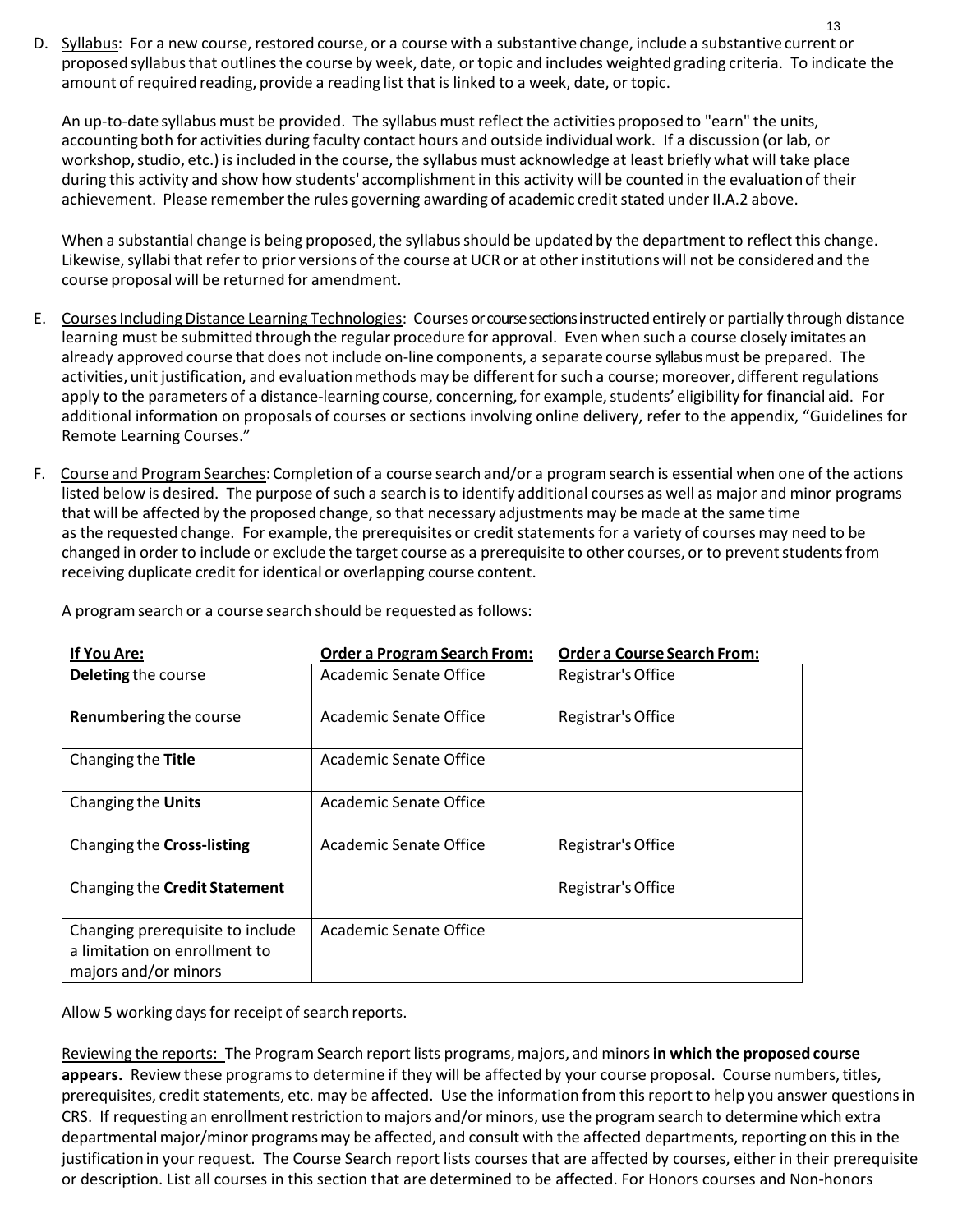D. Syllabus: For a new course, restored course, or a course with a substantive change, include a substantive current or proposed syllabusthat outlinesthe course by week, date, or topic and includes weighted grading criteria. To indicate the amount of required reading, provide a reading list that is linked to a week, date, or topic.

13

An up-to-date syllabus must be provided. The syllabus must reflect the activities proposed to "earn" the units, accounting both for activities during faculty contact hours and outside individual work. If a discussion (or lab, or workshop, studio, etc.) is included in the course, the syllabus must acknowledge at least briefly what will take place during this activity and show how students' accomplishment in this activity will be counted in the evaluation of their achievement. Please remember the rules governing awarding of academic credit stated under II.A.2 above.

When a substantial change is being proposed, the syllabus should be updated by the department to reflect this change. Likewise, syllabi that refer to prior versions of the course at UCR or at other institutions will not be considered and the course proposal will be returned for amendment.

- E. Courses Including Distance Learning Technologies: Courses or course sections instructed entirely or partially through distance learning must be submitted through the regular procedure for approval. Even when such a course closely imitates an already approved course that does not include on-line components, a separate course syllabus must be prepared. The activities, unit justification, and evaluation methods may be different for such a course; moreover, different regulations apply to the parameters of a distance-learning course, concerning, for example, students' eligibility for financial aid. For additional information on proposals of courses or sections involving online delivery, refer to the appendix, "Guidelines for Remote Learning Courses."
- F. Course and Program Searches: Completion of a course search and/or a program search is essential when one of the actions listed below is desired. The purpose of such a search is to identify additional courses as well as major and minor programs that will be affected by the proposed change, so that necessary adjustments may be made at the same time as the requested change. For example, the prerequisites or credit statements for a variety of courses may need to be changed in order to include or exclude the target course as a prerequisite to other courses, or to prevent students from receiving duplicate credit for identical or overlapping course content.

| <u>If You Are:</u><br>Deleting the course                                                 | <b>Order a Program Search From:</b><br>Academic Senate Office | <b>Order a Course Search From:</b><br>Registrar's Office |
|-------------------------------------------------------------------------------------------|---------------------------------------------------------------|----------------------------------------------------------|
| Renumbering the course                                                                    | Academic Senate Office                                        | Registrar's Office                                       |
| Changing the Title                                                                        | Academic Senate Office                                        |                                                          |
| Changing the Units                                                                        | Academic Senate Office                                        |                                                          |
| Changing the Cross-listing                                                                | Academic Senate Office                                        | Registrar's Office                                       |
| Changing the Credit Statement                                                             |                                                               | Registrar's Office                                       |
| Changing prerequisite to include<br>a limitation on enrollment to<br>majors and/or minors | Academic Senate Office                                        |                                                          |

A programsearch or a course search should be requested as follows:

Allow 5 working days for receipt of search reports.

Reviewing the reports: The Program Search reportlists programs,majors, and minors**in which the proposed course**  appears. Review these programs to determine if they will be affected by your course proposal. Course numbers, titles, prerequisites, credit statements, etc. may be affected. Use the information from this report to help you answer questions in CRS. If requesting an enrollment restriction to majors and/or minors, use the programsearch to determinewhich extra departmentalmajor/minor programsmay be affected, and consult with the affected departments, reporting on this in the justificationin your request. The Course Search report lists courses that are affected by courses, either in their prerequisite or description. List all courses in this section that are determined to be affected. For Honors courses and Non-honors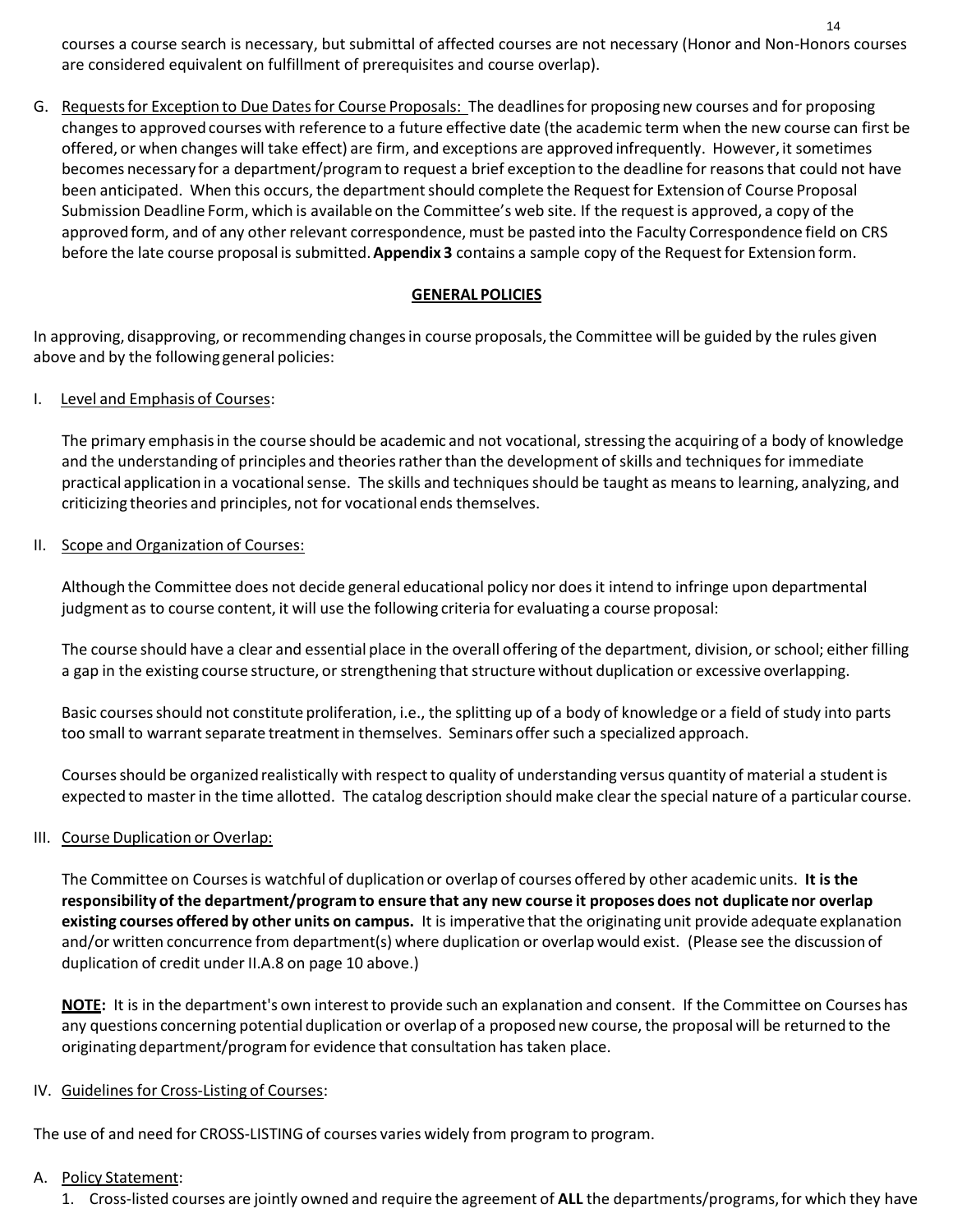courses a course search is necessary, but submittal of affected courses are not necessary (Honor and Non-Honors courses are considered equivalent on fulfillment of prerequisites and course overlap).

G. Requestsfor Exception to Due Datesfor Course Proposals: The deadlinesfor proposing new courses and for proposing changesto approved courses with reference to a future effective date (the academic term when the new course can first be offered, or when changes will take effect) are firm, and exceptions are approved infrequently. However, it sometimes becomes necessary for a department/programto request a brief exception to the deadline for reasonsthat could not have been anticipated. When this occurs, the department should complete the Request for Extension of Course Proposal Submission Deadline Form, which is available on the Committee's web site. If the requestis approved, a copy of the approved form, and of any other relevant correspondence, must be pasted into the Faculty Correspondence field on CRS before the late course proposal is submitted.**Appendix 3** contains a sample copy of the Requestfor Extension form.

#### **GENERAL POLICIES**

In approving, disapproving, or recommending changesin course proposals,the Committee will be guided by the rules given above and by the following general policies:

#### I. Level and Emphasis of Courses:

The primary emphasis in the course should be academic and not vocational, stressing the acquiring of a body of knowledge and the understanding of principles and theories rather than the development of skills and techniques for immediate practical application in a vocationalsense. The skills and techniquesshould be taught as meansto learning, analyzing, and criticizing theories and principles, not for vocational ends themselves.

#### II. Scope and Organization of Courses:

Although the Committee does not decide general educational policy nor doesit intend to infringe upon departmental judgment as to course content, it will use the following criteria for evaluating a course proposal:

The course should have a clear and essential place in the overall offering of the department, division, or school; either filling a gap in the existing course structure, or strengthening that structure without duplication or excessive overlapping.

Basic coursesshould not constitute proliferation, i.e., the splitting up of a body of knowledge or a field of study into parts too small to warrant separate treatment in themselves. Seminars offer such a specialized approach.

Courses should be organized realistically with respect to quality of understanding versus quantity of material a student is expected to masterin the time allotted. The catalog description should make clear the special nature of a particular course.

#### III. Course Duplication or Overlap:

The Committee on Coursesis watchful of duplication or overlap of courses offered by other academic units. **It is the**  responsibility of the department/program to ensure that any new course it proposes does not duplicate nor overlap **existing courses offered by other units on campus.** It is imperative that the originating unit provide adequate explanation and/or written concurrence from department(s) where duplication or overlap would exist. (Please see the discussion of duplication of credit under II.A.8 on page 10 above.)

**NOTE:** It is in the department's own interestto provide such an explanation and consent. If the Committee on Courses has any questions concerning potential duplication or overlap of a proposed new course, the proposal will be returned to the originating department/programfor evidence that consultation has taken place.

#### IV. Guidelines for Cross-Listing of Courses:

The use of and need for CROSS-LISTING of courses varies widely from programto program.

#### A. Policy Statement:

1. Cross-listed courses are jointly owned and require the agreement of **ALL** the departments/programs,for which they have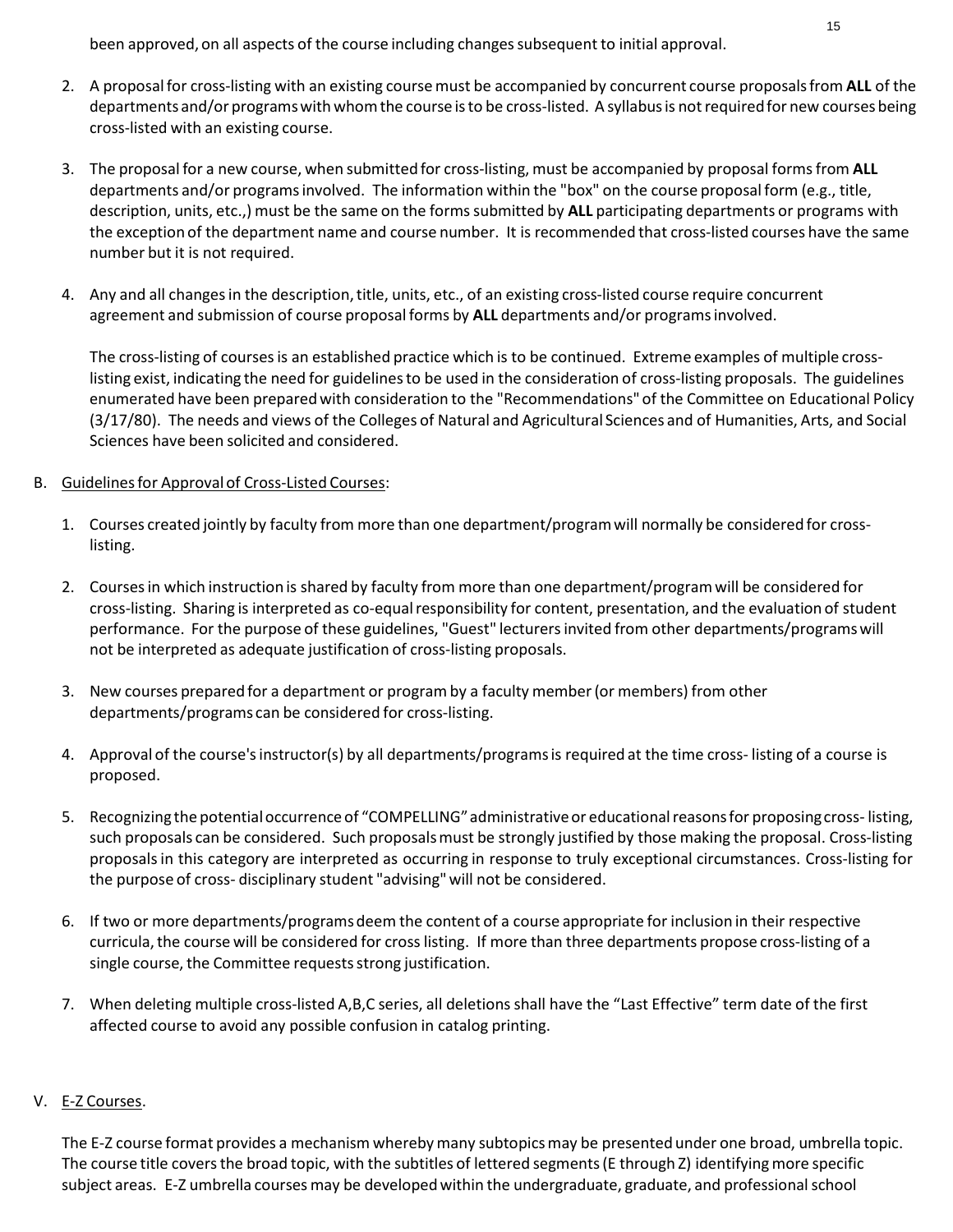been approved, on all aspects of the course including changes subsequent to initial approval.

- 2. A proposalfor cross-listing with an existing coursemust be accompanied by concurrent course proposalsfrom **ALL** of the departments and/or programswithwhomthe course isto be cross-listed. A syllabusis notrequiredfor new courses being cross-listed with an existing course.
- 3. The proposal for a new course, when submitted for cross-listing, must be accompanied by proposal formsfrom **ALL**  departments and/or programs involved. The information within the "box" on the course proposal form (e.g., title, description, units, etc.,) must be the same on the formssubmitted by **ALL** participating departments or programs with the exception of the department name and course number. It is recommended that cross-listed courses have the same number but it is not required.
- 4. Any and all changes in the description, title, units, etc., of an existing cross-listed course require concurrent agreement and submission of course proposalforms by **ALL** departments and/or programsinvolved.

The cross-listing of coursesis an established practice which is to be continued. Extreme examples of multiple crosslisting exist, indicating the need for guidelines to be used in the consideration of cross-listing proposals. The guidelines enumerated have been preparedwith consideration to the "Recommendations" of the Committee on Educational Policy (3/17/80). The needs and views of the Colleges of Natural and Agricultural Sciences and of Humanities, Arts, and Social Sciences have been solicited and considered.

#### B. Guidelinesfor Approvalof Cross-Listed Courses:

- 1. Courses created jointly by faculty from more than one department/programwill normally be consideredfor crosslisting.
- 2. Coursesin which instruction is shared by faculty from more than one department/programwill be considered for cross-listing. Sharing is interpreted as co-equalresponsibility for content, presentation, and the evaluation of student performance. For the purpose of these guidelines, "Guest" lecturersinvited from other departments/programswill not be interpreted as adequate justification of cross-listing proposals.
- 3. New courses prepared for a department or programby a faculty member(or members) from other departments/programs can be considered for cross-listing.
- 4. Approval of the course'sinstructor(s) by all departments/programsis required at the time cross- listing of a course is proposed.
- 5. Recognizing the potentialoccurrence of "COMPELLING"administrativeor educationalreasonsfor proposingcross- listing, such proposals can be considered. Such proposalsmust be strongly justified by those making the proposal. Cross-listing proposalsin this category are interpreted as occurring in response to truly exceptional circumstances. Cross-listing for the purpose of cross- disciplinary student "advising"will not be considered.
- 6. If two or more departments/programs deem the content of a course appropriate for inclusion in their respective curricula, the course will be considered for cross listing. If more than three departments propose cross-listing of a single course, the Committee requests strong justification.
- 7. When deleting multiple cross-listed A,B,C series, all deletionsshall have the "Last Effective" term date of the first affected course to avoid any possible confusion in catalog printing.

#### V. E-Z Courses.

The E-Z course format provides a mechanism wherebymany subtopicsmay be presented under one broad, umbrella topic. The course title covers the broad topic, with the subtitles of lettered segments (E through Z) identifying more specific subject areas. E-Z umbrella courses may be developed within the undergraduate, graduate, and professional school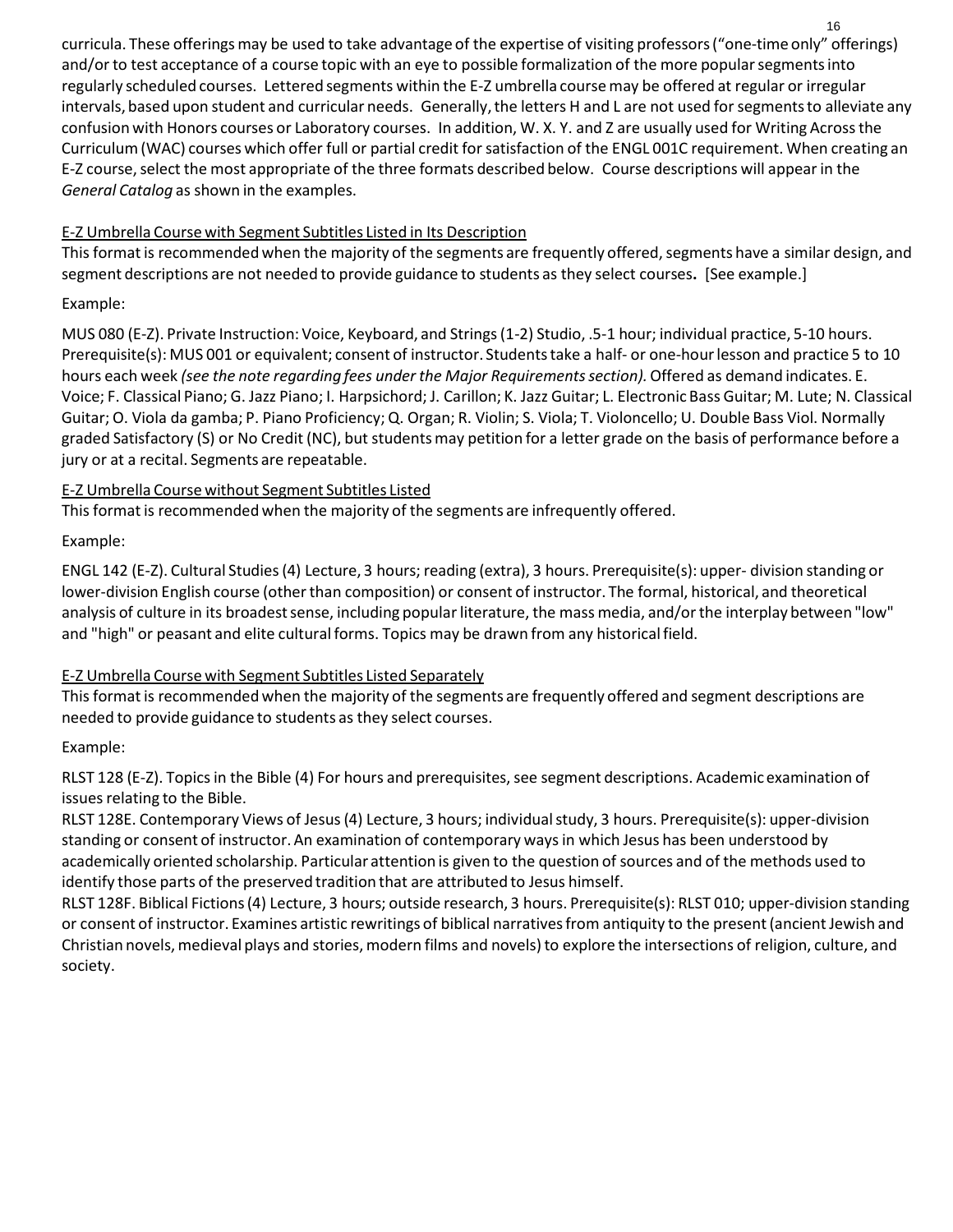curricula. These offeringsmay be used to take advantage of the expertise of visiting professors("one-time only" offerings) and/or to test acceptance of a course topic with an eye to possible formalization of the more popular segments into regularly scheduled courses. Lettered segments within the E-Z umbrella coursemay be offered at regular or irregular intervals, based upon student and curricular needs. Generally, the letters H and L are not used for segments to alleviate any confusion with Honors courses or Laboratory courses. In addition, W. X. Y. and Z are usually used for Writing Acrossthe Curriculum(WAC) courses which offer full or partial credit for satisfaction of the ENGL 001C requirement. When creating an E-Z course, select the most appropriate of the three formats described below. Course descriptions will appear in the *General Catalog* as shown in the examples.

## E-Z Umbrella Course with Segment Subtitles Listed in Its Description

This format is recommended when the majority of the segments are frequently offered, segments have a similar design, and segment descriptions are not needed to provide guidance to students as they select courses**.** [See example.]

#### Example:

MUS 080 (E-Z). Private Instruction: Voice, Keyboard, and Strings (1-2) Studio, .5-1 hour; individual practice, 5-10 hours. Prerequisite(s): MUS 001 or equivalent; consent of instructor. Students take a half- or one-hour lesson and practice 5 to 10 hours each week *(see the note regarding fees under the Major Requirementssection).*Offered as demand indicates. E. Voice; F. Classical Piano; G. Jazz Piano; I. Harpsichord; J. Carillon; K. Jazz Guitar; L. Electronic Bass Guitar; M. Lute; N. Classical Guitar; O. Viola da gamba; P. Piano Proficiency; Q. Organ; R. Violin; S. Viola; T. Violoncello; U. Double Bass Viol. Normally graded Satisfactory (S) or No Credit (NC), but studentsmay petition for a letter grade on the basis of performance before a jury or at a recital. Segments are repeatable.

#### E-Z Umbrella Course without Segment Subtitles Listed

This format is recommended when the majority of the segments are infrequently offered.

## Example:

ENGL 142 (E-Z). Cultural Studies(4) Lecture, 3 hours; reading (extra), 3 hours. Prerequisite(s): upper- division standing or lower-division English course (other than composition) or consent of instructor. The formal, historical, and theoretical analysis of culture in its broadest sense, including popular literature, the mass media, and/or the interplay between "low" and "high" or peasant and elite cultural forms. Topics may be drawn from any historicalfield.

## E-Z Umbrella Course with Segment Subtitles Listed Separately

This format is recommended when the majority of the segments are frequently offered and segment descriptions are needed to provide guidance to students as they select courses.

## Example:

RLST 128 (E-Z). Topics in the Bible (4) For hours and prerequisites, see segment descriptions. Academic examination of issues relating to the Bible.

RLST 128E. Contemporary Views of Jesus(4) Lecture, 3 hours; individualstudy, 3 hours. Prerequisite(s): upper-division standing or consent of instructor. An examination of contemporary ways in which Jesus has been understood by academically oriented scholarship. Particular attention is given to the question of sources and of the methods used to identify those parts of the preserved tradition that are attributed to Jesus himself.

RLST 128F. Biblical Fictions(4) Lecture, 3 hours; outside research, 3 hours. Prerequisite(s): RLST 010; upper-division standing or consent of instructor. Examines artistic rewritings of biblical narratives from antiquity to the present (ancient Jewish and Christian novels, medieval plays and stories, modern films and novels) to explore the intersections of religion, culture, and society.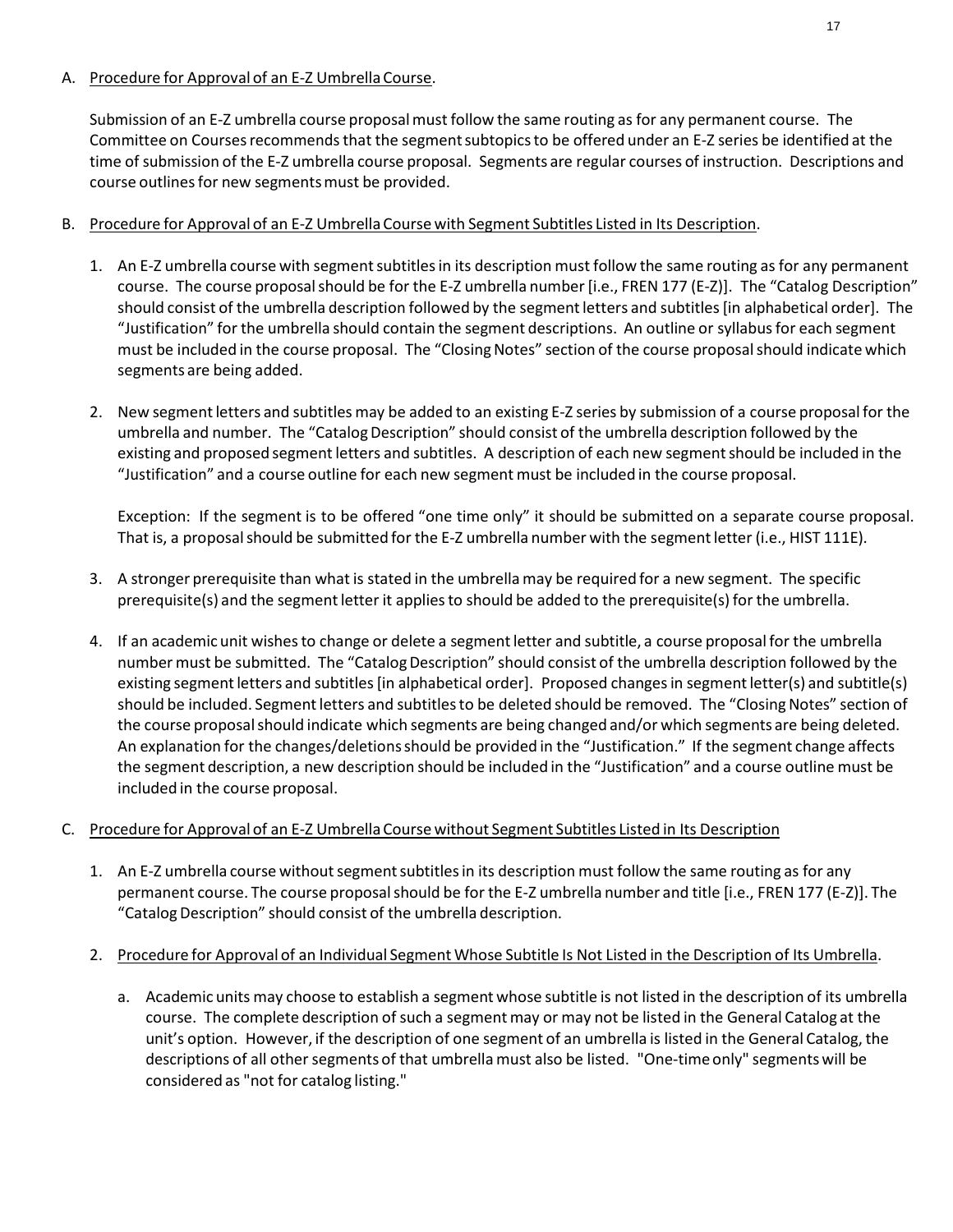#### A. Procedure for Approval of an E-Z Umbrella Course.

Submission of an E-Z umbrella course proposalmust follow the same routing as for any permanent course. The Committee on Courses recommends that the segment subtopics to be offered under an E-Z series be identified at the time of submission of the E-Z umbrella course proposal. Segments are regular courses of instruction. Descriptions and course outlines for new segments must be provided.

#### B. Procedure for Approval of an E-Z Umbrella Coursewith Segment Subtitles Listed in Its Description.

- 1. An E-Z umbrella course with segment subtitles in its description must follow the same routing as for any permanent course. The course proposal should be for the E-Z umbrella number [i.e., FREN 177 (E-Z)]. The "Catalog Description" should consist of the umbrella description followed by the segment letters and subtitles [in alphabetical order]. The "Justification" for the umbrella should contain the segment descriptions. An outline or syllabusfor each segment must be included in the course proposal. The "Closing Notes" section of the course proposal should indicate which segments are being added.
- 2. New segment letters and subtitles may be added to an existing E-Z series by submission of a course proposal for the umbrella and number. The "Catalog Description" should consist of the umbrella description followed by the existing and proposed segmentletters and subtitles. A description of each new segmentshould be included in the "Justification" and a course outline for each new segment must be included in the course proposal.

Exception: If the segment is to be offered "one time only" it should be submitted on a separate course proposal. That is, a proposal should be submitted for the E-Z umbrella number with the segment letter (i.e., HIST 111E).

- 3. A stronger prerequisite than what is stated in the umbrellamay be required for a new segment. The specific prerequisite(s) and the segment letter it applies to should be added to the prerequisite(s) for the umbrella.
- 4. If an academic unit wishesto change or delete a segmentletter and subtitle, a course proposalfor the umbrella number must be submitted. The "Catalog Description" should consist of the umbrella description followed by the existing segment letters and subtitles [in alphabetical order]. Proposed changes in segment letter(s) and subtitle(s) should be included. Segment letters and subtitles to be deleted should be removed. The "Closing Notes" section of the course proposalshould indicate which segments are being changed and/or which segments are being deleted. An explanation for the changes/deletionsshould be provided in the "Justification." If the segment change affects the segment description, a new description should be included in the "Justification" and a course outline must be included in the course proposal.

#### C. Procedure for Approval of an E-Z Umbrella Coursewithout Segment Subtitles Listed in Its Description

1. An E-Z umbrella course without segment subtitles in its description must follow the same routing as for any permanent course. The course proposalshould be for the E-Z umbrella number and title [i.e., FREN 177 (E-Z)]. The "Catalog Description" should consist of the umbrella description.

#### 2. Procedure for Approval of an Individual Segment Whose Subtitle Is Not Listed in the Description of Its Umbrella.

a. Academic units may choose to establish a segment whose subtitle is not listed in the description of its umbrella course. The complete description of such a segment may or may not be listed in the General Catalog at the unit's option. However, if the description of one segment of an umbrella is listed in the General Catalog, the descriptions of all other segments of that umbrella must also be listed. "One-time only" segments will be considered as "not for catalog listing."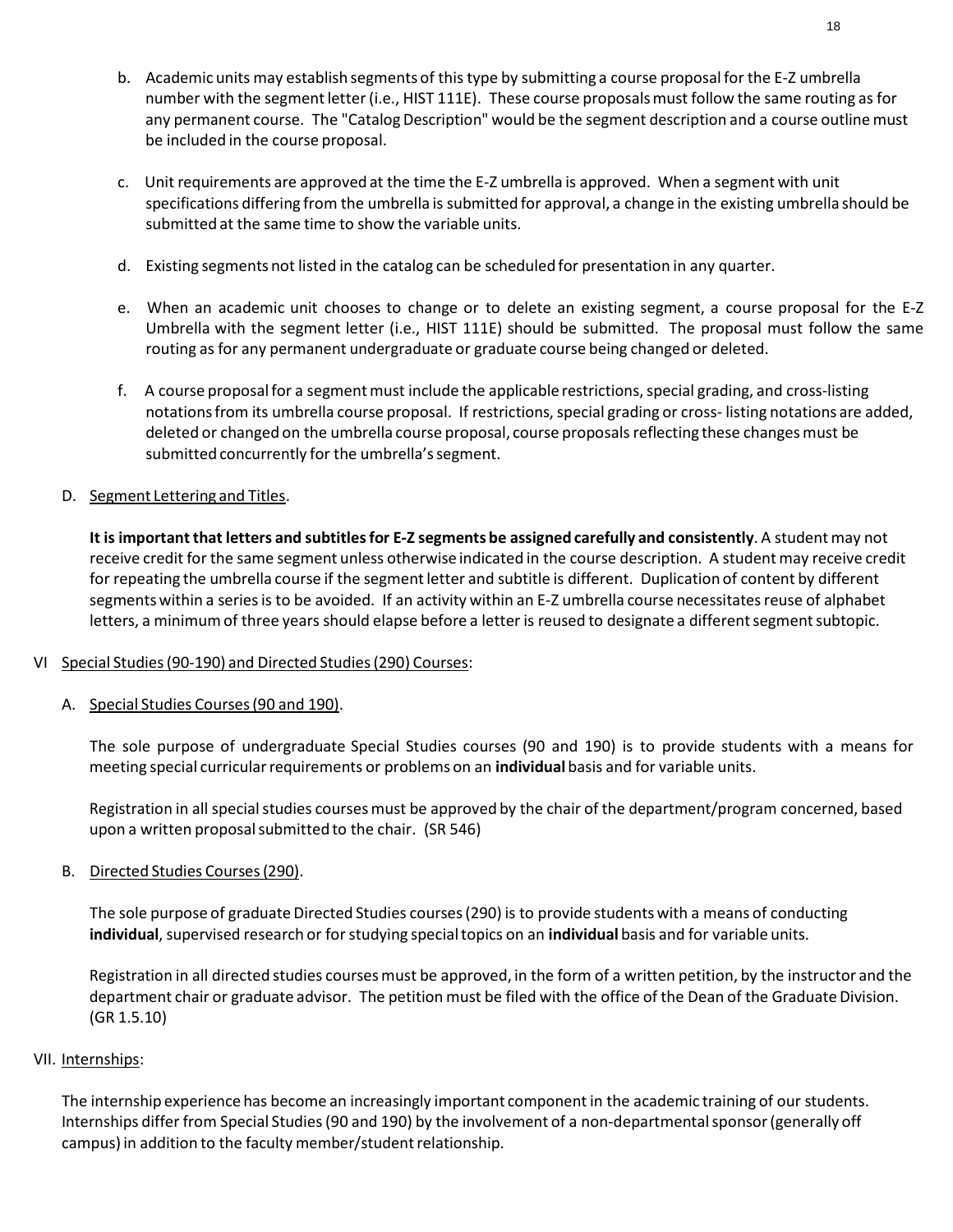- b. Academic units may establish segments of this type by submitting a course proposal for the E-Z umbrella number with the segment letter (i.e., HIST 111E). These course proposals must follow the same routing as for any permanent course. The "Catalog Description" would be the segment description and a course outline must be included in the course proposal.
- c. Unit requirements are approved at the time the E-Z umbrella is approved. When a segment with unit specifications differing from the umbrella is submitted for approval, a change in the existing umbrella should be submitted at the same time to show the variable units.
- d. Existing segments not listed in the catalog can be scheduled for presentation in any quarter.
- e. When an academic unit chooses to change or to delete an existing segment, a course proposal for the E-Z Umbrella with the segment letter (i.e., HIST 111E) should be submitted. The proposal must follow the same routing as for any permanent undergraduate or graduate course being changed or deleted.
- f. A course proposal for a segment must include the applicable restrictions, special grading, and cross-listing notations from its umbrella course proposal. If restrictions, special grading or cross- listing notations are added, deleted or changed on the umbrella course proposal, course proposals reflecting these changes must be submitted concurrently for the umbrella's segment.

## D. Segment Lettering and Titles.

**It is important that letters and subtitlesfor E-Z segments be assigned carefully and consistently**. A studentmay not receive credit for the same segment unless otherwise indicated in the course description. A student may receive credit for repeating the umbrella course if the segment letter and subtitle is different. Duplication of content by different segments within a series is to be avoided. If an activity within an E-Z umbrella course necessitates reuse of alphabet letters, a minimum of three years should elapse before a letter is reused to designate a different segment subtopic.

#### VI Special Studies(90-190) and Directed Studies(290) Courses:

A. Special Studies Courses(90 and 190).

The sole purpose of undergraduate Special Studies courses (90 and 190) is to provide students with a means for meeting special curricular requirements or problems on an *individual* basis and for variable units.

Registration in all special studies courses must be approved by the chair of the department/program concerned, based upon a written proposalsubmitted to the chair. (SR 546)

B. Directed Studies Courses(290).

The sole purpose of graduate Directed Studies courses (290) is to provide students with a means of conducting **individual**, supervised research or for studying special topics on an **individual** basis and for variable units.

Registration in all directed studies coursesmust be approved, in the form of a written petition, by the instructor and the department chair or graduate advisor. The petition must be filed with the office of the Dean of the Graduate Division. (GR 1.5.10)

#### VII. Internships:

The internship experience has become an increasingly important component in the academic training of our students. Internships differ from Special Studies (90 and 190) by the involvement of a non-departmental sponsor (generally off campus) in addition to the faculty member/student relationship.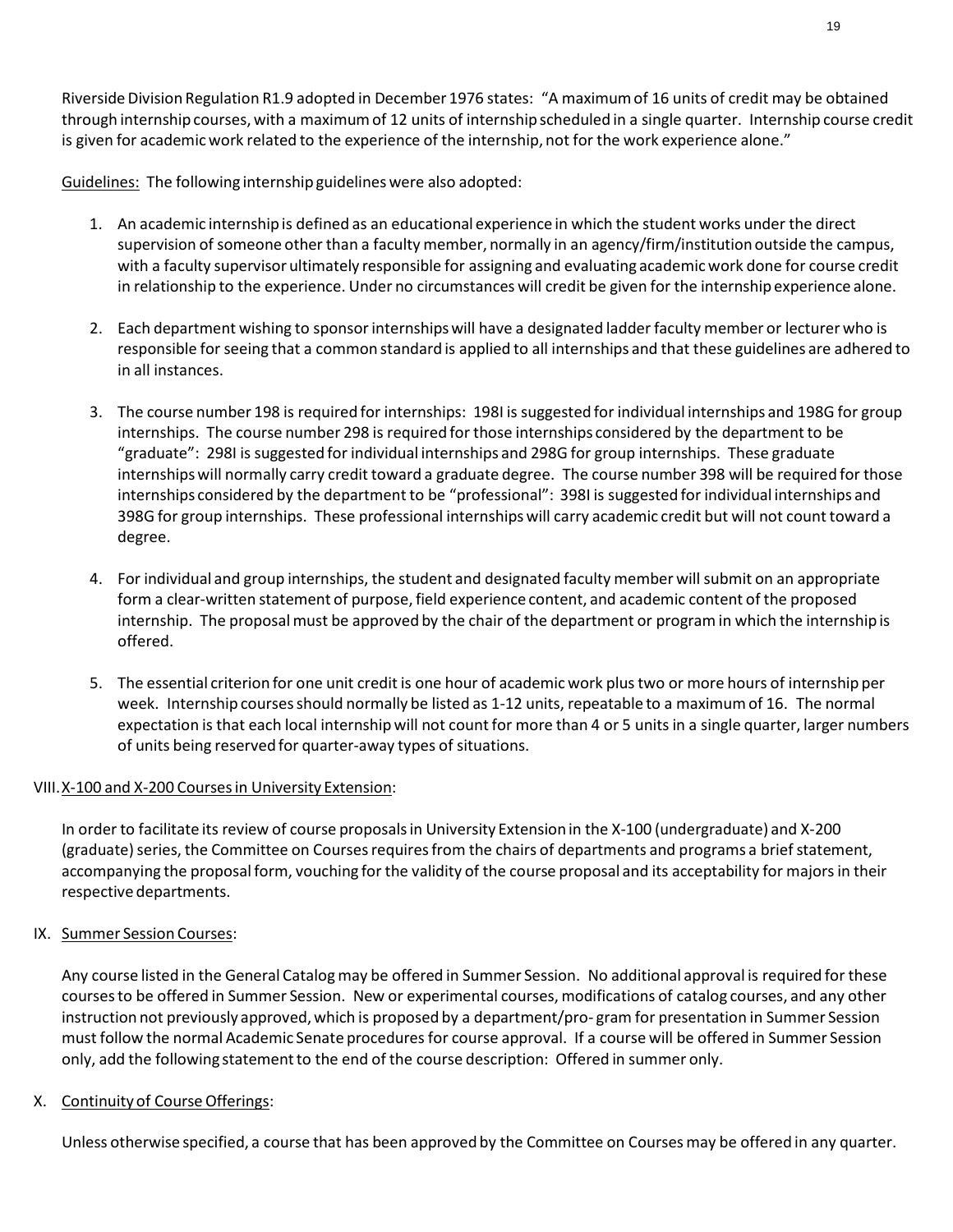Riverside Division Regulation R1.9 adopted in December 1976 states: "A maximumof 16 units of credit may be obtained through internship courses, with a maximum of 12 units of internship scheduled in a single quarter. Internship course credit is given for academic work related to the experience of the internship, not for the work experience alone."

Guidelines: The following internship guidelines were also adopted:

- 1. An academic internship is defined as an educational experience in which the student works under the direct supervision of someone other than a faculty member, normally in an agency/firm/institutionoutside the campus, with a faculty supervisor ultimately responsible for assigning and evaluating academicwork done for course credit in relationship to the experience. Under no circumstances will credit be given for the internship experience alone.
- 2. Each department wishing to sponsor internships will have a designated ladder faculty member or lecturer who is responsible forseeing that a common standard is applied to all internships and that these guidelines are adhered to in all instances.
- 3. The course number 198 is required for internships: 198I is suggested for individual internships and 198G for group internships. The course number 298 is required for those internships considered by the department to be "graduate": 298I is suggested for individual internships and 298G for group internships. These graduate internshipswill normally carry credit toward a graduate degree. The course number 398 will be required for those internships considered by the department to be "professional": 398I is suggested for individual internships and 398G for group internships. These professional internships will carry academic credit but will not count toward a degree.
- 4. For individual and group internships, the student and designated faculty member will submit on an appropriate form a clear-written statement of purpose, field experience content, and academic content of the proposed internship. The proposal must be approved by the chair of the department or program in which the internship is offered.
- 5. The essential criterion for one unit credit is one hour of academicwork plustwo or more hours of internship per week. Internship coursesshould normally be listed as 1-12 units, repeatable to a maximumof 16. The normal expectation is that each local internship will not count for more than 4 or 5 unitsin a single quarter, larger numbers of units being reserved for quarter-away types of situations.

#### VIII.X-100 and X-200 Coursesin University Extension:

In order to facilitate its review of course proposalsin University Extension in the X-100 (undergraduate) and X-200 (graduate) series, the Committee on Courses requires from the chairs of departments and programs a brief statement, accompanying the proposal form, vouching for the validity of the course proposal and its acceptability for majors in their respective departments.

#### IX. Summer Session Courses:

Any course listed in the General Catalogmay be offered in Summer Session. No additional approval is required for these coursesto be offered in Summer Session. New or experimental courses, modifications of catalog courses, and any other instruction not previously approved,which is proposed by a department/pro- gram for presentation in Summer Session must follow the normal Academic Senate proceduresfor course approval. If a course will be offered in Summer Session only, add the following statementto the end of the course description: Offered in summer only.

#### X. Continuity of Course Offerings:

Unless otherwise specified, a course that has been approved by the Committee on Coursesmay be offered in any quarter.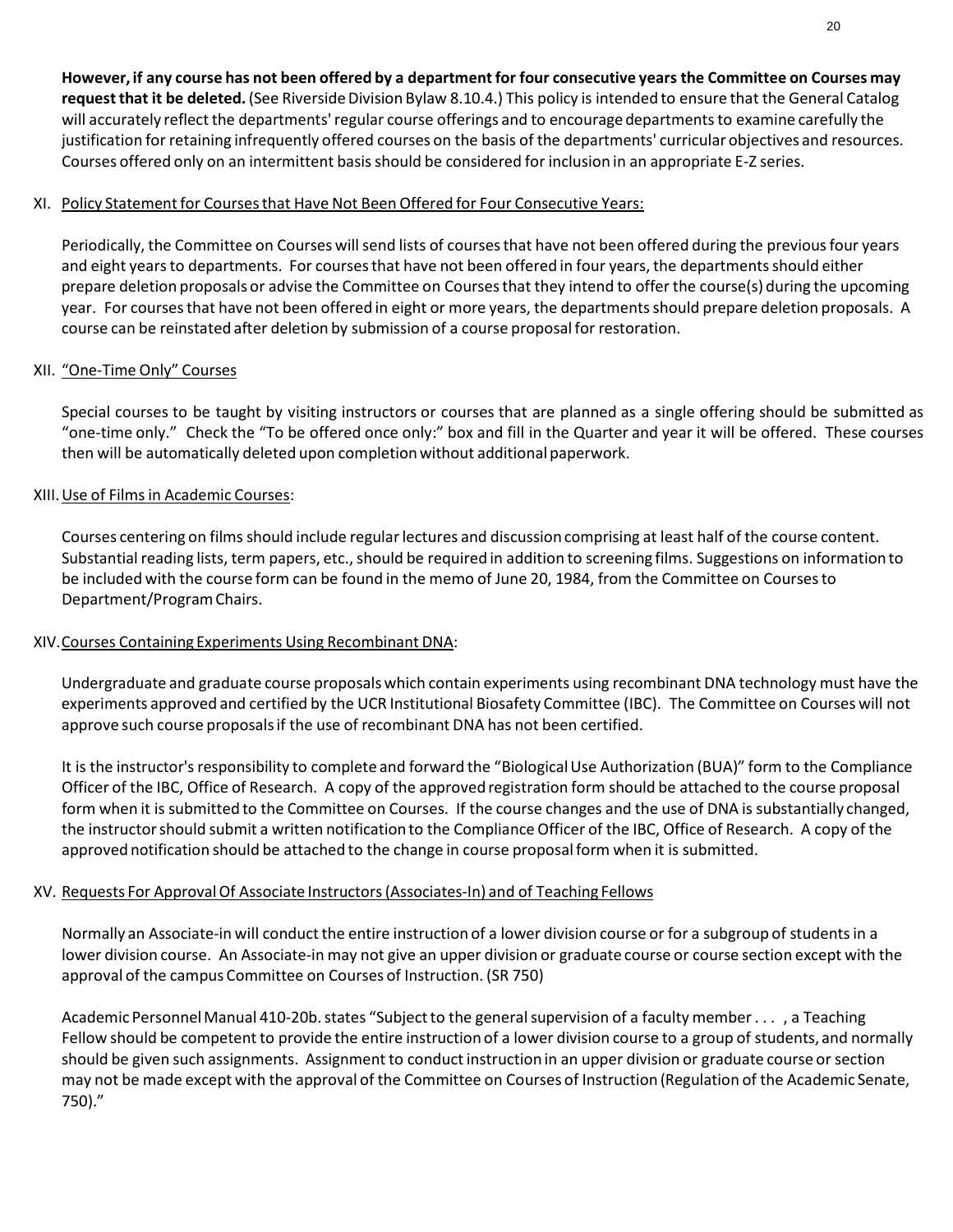However, if any course has not been offered by a department for four consecutive years the Committee on Courses may **request that it be deleted.** (See Riverside Division Bylaw 8.10.4.) This policy is intended to ensure that the General Catalog will accurately reflect the departments' regular course offerings and to encourage departments to examine carefully the justification for retaining infrequently offered courses on the basis of the departments' curricular objectives and resources. Courses offered only on an intermittent basis should be considered for inclusion in an appropriate E-Z series.

#### XI. Policy Statementfor Coursesthat Have Not Been Offered for Four Consecutive Years:

Periodically, the Committee on Courses will send lists of courses that have not been offered during the previous four years and eight years to departments. For courses that have not been offered in four years, the departments should either prepare deletion proposals or advise the Committee on Coursesthat they intend to offer the course(s) during the upcoming year. For coursesthat have not been offered in eight or more years, the departmentsshould prepare deletion proposals. A course can be reinstated after deletion by submission of a course proposalfor restoration.

#### XII. "One-Time Only" Courses

Special courses to be taught by visiting instructors or courses that are planned as a single offering should be submitted as "one-time only." Check the "To be offered once only:" box and fill in the Quarter and year it will be offered. These courses then will be automatically deleted upon completion without additional paperwork.

#### XIII.Use of Filmsin Academic Courses:

Courses centering on films should include regular lectures and discussion comprising at least half of the course content. Substantial reading lists, term papers, etc., should be required in addition to screening films. Suggestions on information to be included with the course form can be found in the memo of June 20, 1984, from the Committee on Coursesto Department/ProgramChairs.

#### XIV.Courses Containing Experiments Using Recombinant DNA:

Undergraduate and graduate course proposalswhich contain experiments using recombinant DNA technology must have the experiments approved and certified by the UCR Institutional Biosafety Committee (IBC). The Committee on Courses will not approve such course proposalsif the use of recombinant DNA has not been certified.

It is the instructor's responsibility to complete and forward the "Biological Use Authorization (BUA)" form to the Compliance Officer of the IBC, Office of Research. A copy of the approved registration form should be attached to the course proposal form when it is submitted to the Committee on Courses. If the course changes and the use of DNA is substantially changed, the instructorshould submit a written notificationto the Compliance Officer of the IBC, Office of Research. A copy of the approved notification should be attached to the change in course proposalform when it is submitted.

#### XV. Requests For ApprovalOf Associate Instructors(Associates-In) and of Teaching Fellows

Normally an Associate-in will conduct the entire instruction of a lower division course or for a subgroup of students in a lower division course. An Associate-in may not give an upper division or graduate course or course section except with the approval of the campus Committee on Courses of Instruction. (SR 750)

Academic Personnel Manual 410-20b. states "Subject to the general supervision of a faculty member..., a Teaching Fellow should be competent to provide the entire instruction of a lower division course to a group of students, and normally should be given such assignments. Assignment to conduct instruction in an upper division or graduate course or section may not be made except with the approval of the Committee on Courses of Instruction (Regulation of the Academic Senate, 750)."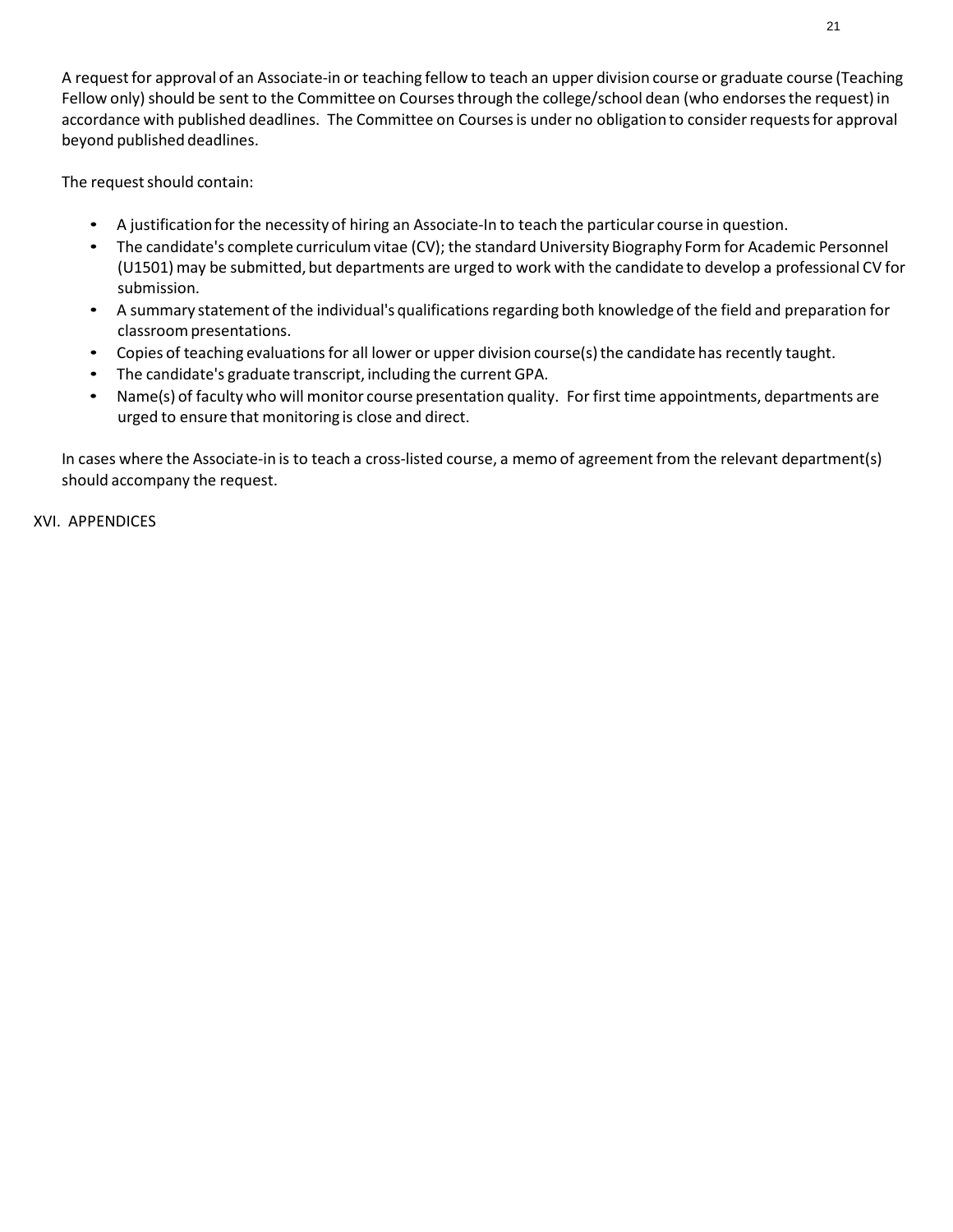A request for approval of an Associate-in or teaching fellow to teach an upper division course or graduate course (Teaching Fellow only) should be sent to the Committee on Courses through the college/school dean (who endorses the request) in accordance with published deadlines. The Committee on Courses is under no obligation to consider requests for approval beyond published deadlines.

The request should contain:

- A justification for the necessity of hiring an Associate-In to teach the particular course in question.
- The candidate's complete curriculum vitae (CV); the standard University Biography Form for Academic Personnel (U1501) may be submitted, but departments are urged to work with the candidate to develop a professional CV for submission.
- A summary statement of the individual's qualifications regarding both knowledge of the field and preparation for classroom presentations.
- Copies of teaching evaluations for all lower or upper division course(s) the candidate has recently taught.
- The candidate's graduate transcript, including the current GPA.
- Name(s) of faculty who will monitor course presentation quality. For first time appointments, departments are urged to ensure that monitoring is close and direct.

In cases where the Associate-in is to teach a cross-listed course, a memo of agreement from the relevant department(s) should accompany the request.

XVI. APPENDICES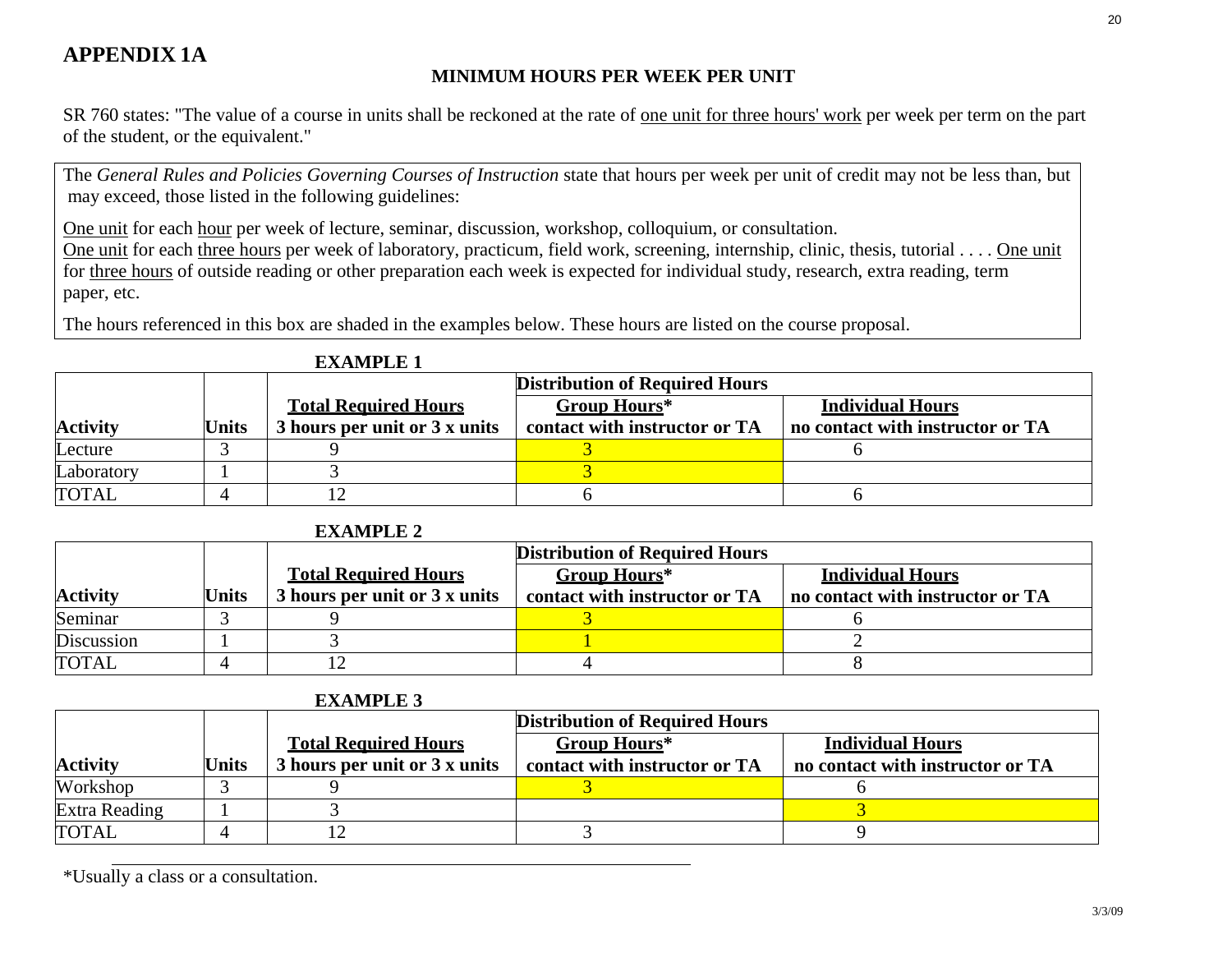# **APPENDIX 1A**

## **MINIMUM HOURS PER WEEK PER UNIT**

SR 760 states: "The value of a course in units shall be reckoned at the rate of one unit for three hours' work per week per term on the part of the student, or the equivalent."

The *General Rules and Policies Governing Courses of Instruction* state that hours per week per unit of credit may not be less than, but may exceed, those listed in the following guidelines:

One unit for each hour per week of lecture, seminar, discussion, workshop, colloquium, or consultation.

One unit for each three hours per week of laboratory, practicum, field work, screening, internship, clinic, thesis, tutorial . . . . One unit for three hours of outside reading or other preparation each week is expected for individual study, research, extra reading, term paper, etc.

The hours referenced in this box are shaded in the examples below. These hours are listed on the course proposal.

|                 |              | <b>Distribution of Required Hours</b> |                               |                                  |
|-----------------|--------------|---------------------------------------|-------------------------------|----------------------------------|
|                 |              | <b>Total Required Hours</b>           | <b>Group Hours*</b>           | <b>Individual Hours</b>          |
| <b>Activity</b> | <b>Units</b> | 3 hours per unit or 3 x units         | contact with instructor or TA | no contact with instructor or TA |
| Lecture         |              |                                       |                               |                                  |
| Laboratory      |              |                                       |                               |                                  |
| <b>TOTAL</b>    |              |                                       |                               |                                  |

#### **EXAMPLE 1**

**EXAMPLE 2**

|                 | един ее з    |                                       |                               |                                  |
|-----------------|--------------|---------------------------------------|-------------------------------|----------------------------------|
|                 |              | <b>Distribution of Required Hours</b> |                               |                                  |
|                 |              | <b>Total Required Hours</b>           | <b>Group Hours*</b>           | <b>Individual Hours</b>          |
| <b>Activity</b> | <b>Units</b> | 3 hours per unit or 3 x units         | contact with instructor or TA | no contact with instructor or TA |
| Seminar         |              |                                       |                               |                                  |
| Discussion      |              |                                       |                               |                                  |
| <b>TOTAL</b>    |              |                                       |                               |                                  |

#### **EXAMPLE 3**

|                 |              | <b>Distribution of Required Hours</b> |                               |                                  |
|-----------------|--------------|---------------------------------------|-------------------------------|----------------------------------|
|                 |              | <b>Total Required Hours</b>           | <b>Group Hours*</b>           | <b>Individual Hours</b>          |
| <b>Activity</b> | <b>Units</b> | 3 hours per unit or 3 x units         | contact with instructor or TA | no contact with instructor or TA |
| Workshop        |              |                                       |                               |                                  |
| Extra Reading   |              |                                       |                               |                                  |
| <b>TOTAL</b>    |              |                                       |                               |                                  |

\*Usually a class or a consultation.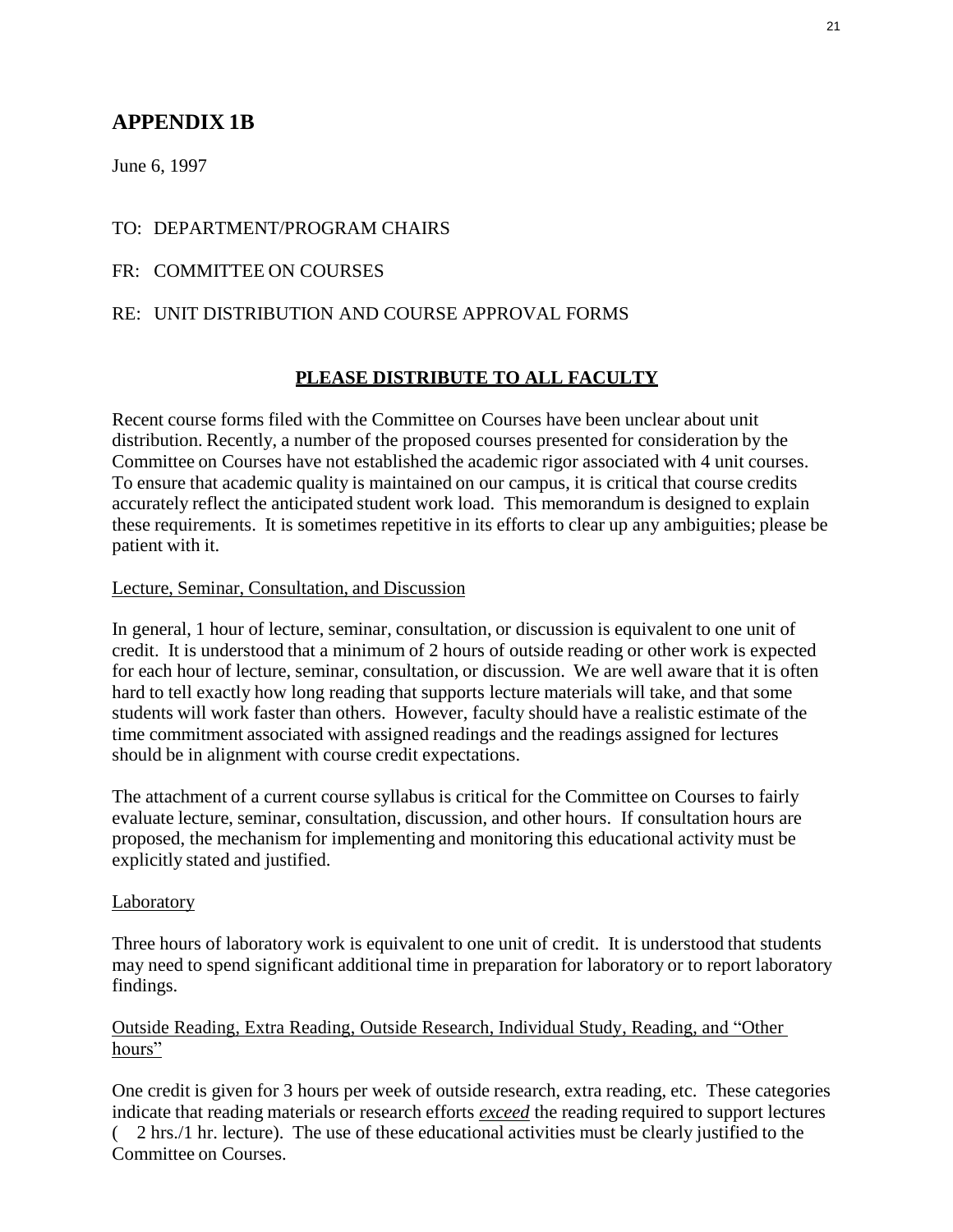# **APPENDIX 1B**

June 6, 1997

## TO: DEPARTMENT/PROGRAM CHAIRS

## FR: COMMITTEE ON COURSES

## RE: UNIT DISTRIBUTION AND COURSE APPROVAL FORMS

## **PLEASE DISTRIBUTE TO ALL FACULTY**

Recent course forms filed with the Committee on Courses have been unclear about unit distribution. Recently, a number of the proposed courses presented for consideration by the Committee on Courses have not established the academic rigor associated with 4 unit courses. To ensure that academic quality is maintained on our campus, it is critical that course credits accurately reflect the anticipated student work load. This memorandum is designed to explain these requirements. It is sometimes repetitive in its efforts to clear up any ambiguities; please be patient with it.

## Lecture, Seminar, Consultation, and Discussion

In general, 1 hour of lecture, seminar, consultation, or discussion is equivalent to one unit of credit. It is understood that a minimum of 2 hours of outside reading or other work is expected for each hour of lecture, seminar, consultation, or discussion. We are well aware that it is often hard to tell exactly how long reading that supports lecture materials will take, and that some students will work faster than others. However, faculty should have a realistic estimate of the time commitment associated with assigned readings and the readings assigned for lectures should be in alignment with course credit expectations.

The attachment of a current course syllabus is critical for the Committee on Courses to fairly evaluate lecture, seminar, consultation, discussion, and other hours. If consultation hours are proposed, the mechanism for implementing and monitoring this educational activity must be explicitly stated and justified.

#### Laboratory

Three hours of laboratory work is equivalent to one unit of credit. It is understood that students may need to spend significant additional time in preparation for laboratory or to report laboratory findings.

## Outside Reading, Extra Reading, Outside Research, Individual Study, Reading, and "Other hours"

One credit is given for 3 hours per week of outside research, extra reading, etc. These categories indicate that reading materials or research efforts *exceed* the reading required to support lectures ( 2 hrs./1 hr. lecture). The use of these educational activities must be clearly justified to the Committee on Courses.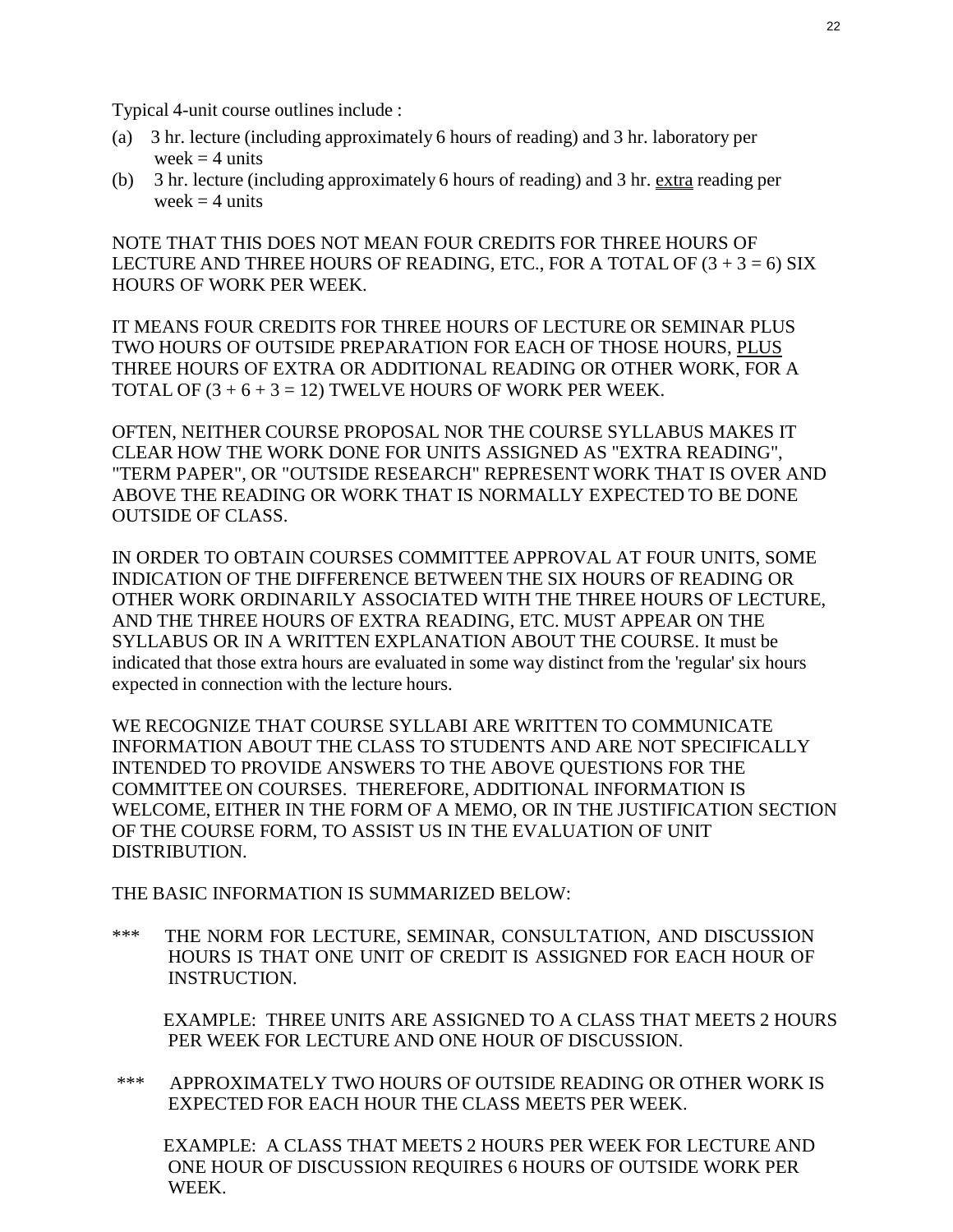Typical 4-unit course outlines include :

- (a) 3 hr. lecture (including approximately 6 hours of reading) and 3 hr. laboratory per week  $=$  4 units
- (b) 3 hr. lecture (including approximately 6 hours of reading) and 3 hr. extra reading per week  $=$  4 units

NOTE THAT THIS DOES NOT MEAN FOUR CREDITS FOR THREE HOURS OF LECTURE AND THREE HOURS OF READING, ETC., FOR A TOTAL OF  $(3 + 3 = 6)$  SIX HOURS OF WORK PER WEEK.

IT MEANS FOUR CREDITS FOR THREE HOURS OF LECTURE OR SEMINAR PLUS TWO HOURS OF OUTSIDE PREPARATION FOR EACH OF THOSE HOURS, PLUS THREE HOURS OF EXTRA OR ADDITIONAL READING OR OTHER WORK, FOR A TOTAL OF  $(3 + 6 + 3 = 12)$  TWELVE HOURS OF WORK PER WEEK.

OFTEN, NEITHER COURSE PROPOSAL NOR THE COURSE SYLLABUS MAKES IT CLEAR HOW THE WORK DONE FOR UNITS ASSIGNED AS "EXTRA READING", "TERM PAPER", OR "OUTSIDE RESEARCH" REPRESENT WORK THAT IS OVER AND ABOVE THE READING OR WORK THAT IS NORMALLY EXPECTED TO BE DONE OUTSIDE OF CLASS.

IN ORDER TO OBTAIN COURSES COMMITTEE APPROVAL AT FOUR UNITS, SOME INDICATION OF THE DIFFERENCE BETWEEN THE SIX HOURS OF READING OR OTHER WORK ORDINARILY ASSOCIATED WITH THE THREE HOURS OF LECTURE, AND THE THREE HOURS OF EXTRA READING, ETC. MUST APPEAR ON THE SYLLABUS OR IN A WRITTEN EXPLANATION ABOUT THE COURSE. It must be indicated that those extra hours are evaluated in some way distinct from the 'regular' six hours expected in connection with the lecture hours.

WE RECOGNIZE THAT COURSE SYLLABI ARE WRITTEN TO COMMUNICATE INFORMATION ABOUT THE CLASS TO STUDENTS AND ARE NOT SPECIFICALLY INTENDED TO PROVIDE ANSWERS TO THE ABOVE QUESTIONS FOR THE COMMITTEE ON COURSES. THEREFORE, ADDITIONAL INFORMATION IS WELCOME, EITHER IN THE FORM OF A MEMO, OR IN THE JUSTIFICATION SECTION OF THE COURSE FORM, TO ASSIST US IN THE EVALUATION OF UNIT DISTRIBUTION.

THE BASIC INFORMATION IS SUMMARIZED BELOW:

\*\*\* THE NORM FOR LECTURE, SEMINAR, CONSULTATION, AND DISCUSSION HOURS IS THAT ONE UNIT OF CREDIT IS ASSIGNED FOR EACH HOUR OF INSTRUCTION.

EXAMPLE: THREE UNITS ARE ASSIGNED TO A CLASS THAT MEETS 2 HOURS PER WEEK FOR LECTURE AND ONE HOUR OF DISCUSSION.

\*\*\* APPROXIMATELY TWO HOURS OF OUTSIDE READING OR OTHER WORK IS EXPECTED FOR EACH HOUR THE CLASS MEETS PER WEEK.

EXAMPLE: A CLASS THAT MEETS 2 HOURS PER WEEK FOR LECTURE AND ONE HOUR OF DISCUSSION REQUIRES 6 HOURS OF OUTSIDE WORK PER WEEK.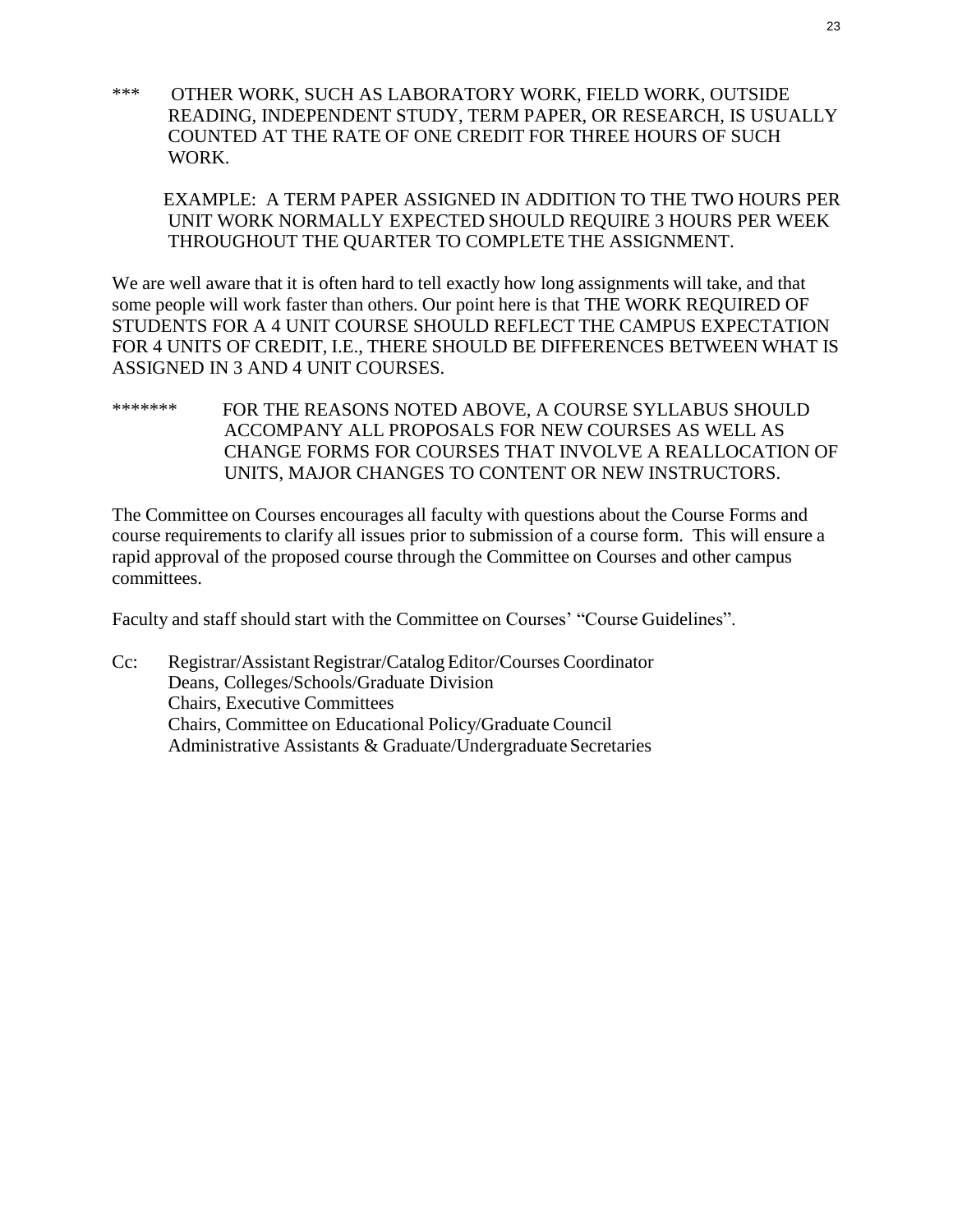\*\*\* OTHER WORK, SUCH AS LABORATORY WORK, FIELD WORK, OUTSIDE READING, INDEPENDENT STUDY, TERM PAPER, OR RESEARCH, IS USUALLY COUNTED AT THE RATE OF ONE CREDIT FOR THREE HOURS OF SUCH WORK.

EXAMPLE: A TERM PAPER ASSIGNED IN ADDITION TO THE TWO HOURS PER UNIT WORK NORMALLY EXPECTED SHOULD REQUIRE 3 HOURS PER WEEK THROUGHOUT THE QUARTER TO COMPLETE THE ASSIGNMENT.

We are well aware that it is often hard to tell exactly how long assignments will take, and that some people will work faster than others. Our point here is that THE WORK REQUIRED OF STUDENTS FOR A 4 UNIT COURSE SHOULD REFLECT THE CAMPUS EXPECTATION FOR 4 UNITS OF CREDIT, I.E., THERE SHOULD BE DIFFERENCES BETWEEN WHAT IS ASSIGNED IN 3 AND 4 UNIT COURSES.

\*\*\*\*\*\*\* FOR THE REASONS NOTED ABOVE, A COURSE SYLLABUS SHOULD ACCOMPANY ALL PROPOSALS FOR NEW COURSES AS WELL AS CHANGE FORMS FOR COURSES THAT INVOLVE A REALLOCATION OF UNITS, MAJOR CHANGES TO CONTENT OR NEW INSTRUCTORS.

The Committee on Courses encourages all faculty with questions about the Course Forms and course requirements to clarify all issues prior to submission of a course form. This will ensure a rapid approval of the proposed course through the Committee on Courses and other campus committees.

Faculty and staff should start with the Committee on Courses' "Course Guidelines".

Cc: Registrar/Assistant Registrar/Catalog Editor/Courses Coordinator Deans, Colleges/Schools/Graduate Division Chairs, Executive Committees Chairs, Committee on Educational Policy/Graduate Council Administrative Assistants & Graduate/Undergraduate Secretaries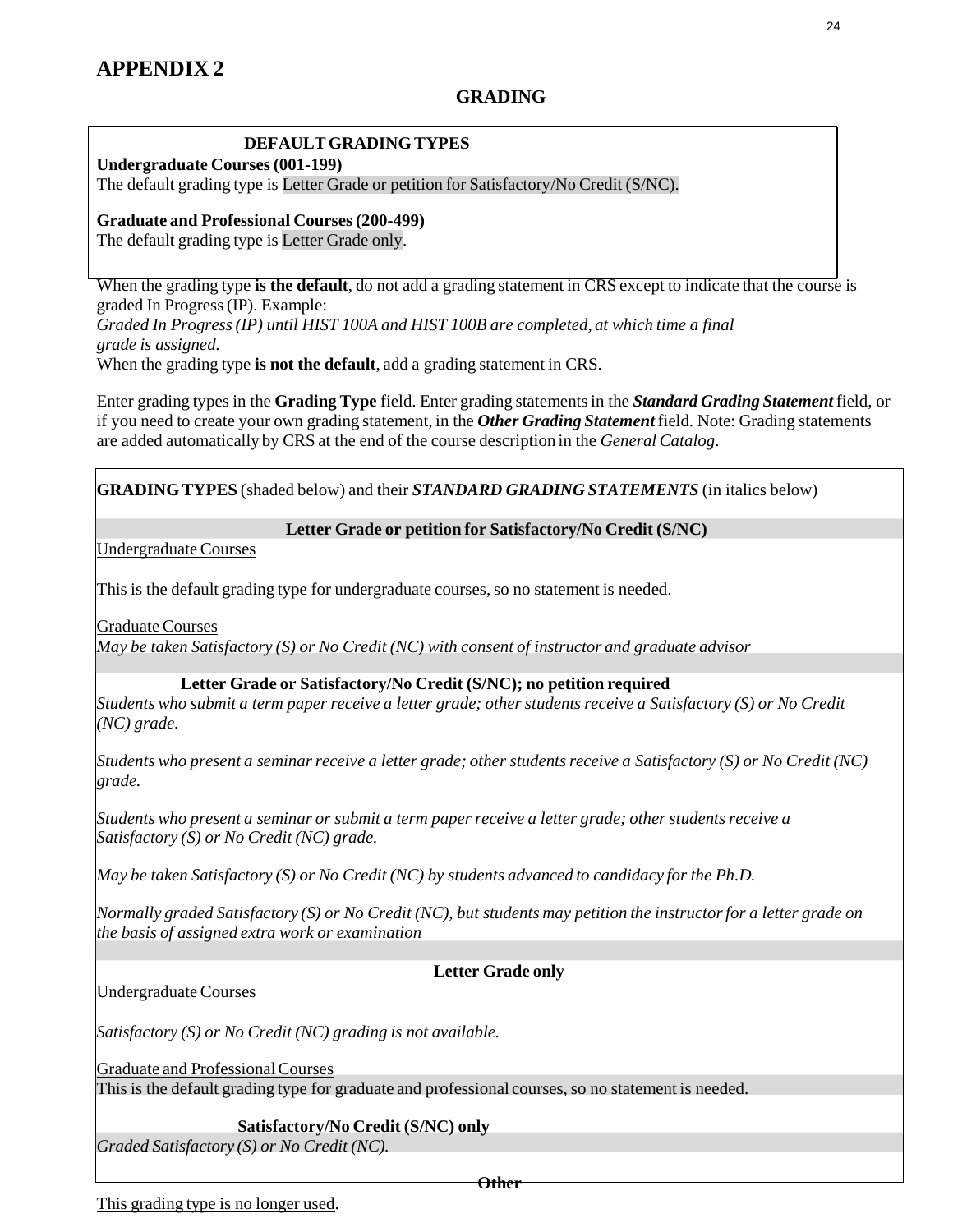## **GRADING**

#### **DEFAULTGRADING TYPES**

**Undergraduate Courses(001-199)**

The default grading type is Letter Grade or petition for Satisfactory/No Credit (S/NC).

**Graduate and Professional Courses(200-499)**

The default grading type is Letter Grade only.

When the grading type **is the default**, do not add a grading statement in CRS except to indicate that the course is graded In Progress(IP). Example: *Graded In Progress(IP) until HIST 100A and HIST 100B are completed, at which time a final grade is assigned.* When the grading type **is not the default**, add a grading statement in CRS.

Enter grading types in the **Grading Type** field. Enter grading statementsin the *Standard Grading Statement* field, or if you need to create your own grading statement, in the *Other Grading Statement*field. Note: Grading statements are added automatically by CRS at the end of the course description in the *General Catalog*.

**GRADINGTYPES** (shaded below) and their *STANDARD GRADING STATEMENTS* (in italics below)

#### **Letter Grade or petition for Satisfactory/No Credit (S/NC)**

Undergraduate Courses

This is the default grading type for undergraduate courses, so no statement is needed.

GraduateCourses

*May be taken Satisfactory (S) or No Credit (NC) with consent of instructor and graduate advisor*

#### **Letter Grade or Satisfactory/No Credit (S/NC); no petition required**

Students who submit a term paper receive a letter grade; other students receive a Satisfactory (S) or No Credit *(NC) grade.*

Students who present a seminar receive a letter grade; other students receive a Satisfactory (S) or No Credit (NC) *grade.*

*Students who present a seminar or submit a term paper receive a letter grade; other studentsreceive a Satisfactory (S) or No Credit (NC) grade.*

*May be taken Satisfactory (S) or No Credit (NC) by students advanced to candidacy for the Ph.D.*

Normally graded Satisfactory (S) or No Credit (NC), but students may petition the instructor for a letter grade on *the basis of assigned extra work or examination*

#### **Letter Grade only**

#### Undergraduate Courses

*Satisfactory (S) or No Credit (NC) grading is not available.*

Graduate and ProfessionalCourses

This is the default grading type for graduate and professional courses,so no statement is needed.

#### **Satisfactory/No Credit (S/NC) only**

*Graded Satisfactory (S) or No Credit (NC).*

**Other**

This grading type is no longer used.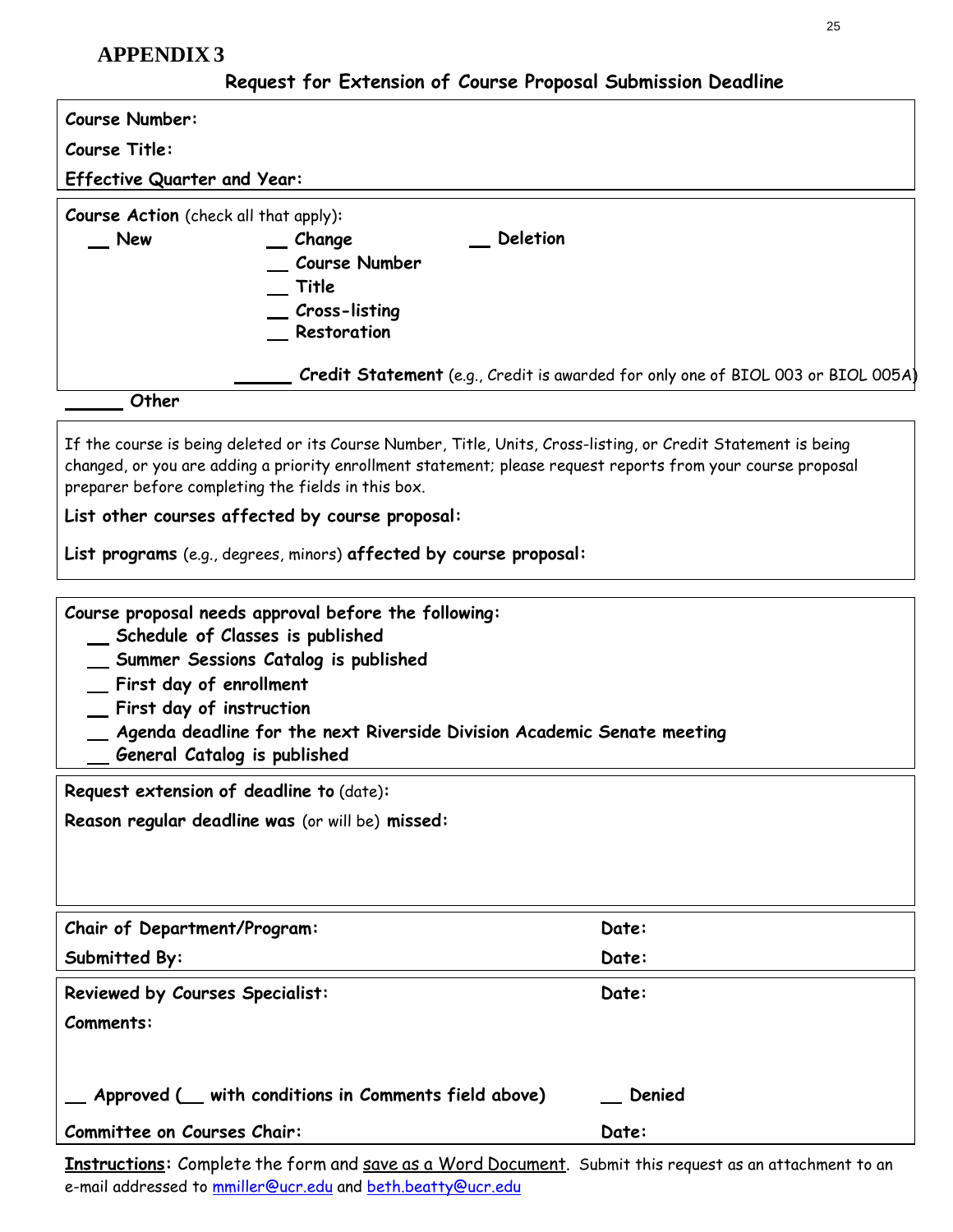# **APPENDIX 3**

# **Request for Extension of Course Proposal Submission Deadline**

| Request for CATERISION of Course in oposur Dubilities Deudinie                                                                                                                                                                                                                                       |                                                                                  |  |  |
|------------------------------------------------------------------------------------------------------------------------------------------------------------------------------------------------------------------------------------------------------------------------------------------------------|----------------------------------------------------------------------------------|--|--|
| <b>Course Number:</b>                                                                                                                                                                                                                                                                                |                                                                                  |  |  |
| <b>Course Title:</b>                                                                                                                                                                                                                                                                                 |                                                                                  |  |  |
| <b>Effective Quarter and Year:</b>                                                                                                                                                                                                                                                                   |                                                                                  |  |  |
| <b>Course Action</b> (check all that apply):<br>New<br><b>Deletion</b><br>Change<br><b>Course Number</b><br>Title<br>Cross-listing<br>Restoration                                                                                                                                                    |                                                                                  |  |  |
|                                                                                                                                                                                                                                                                                                      | Credit Statement (e.g., Credit is awarded for only one of BIOL 003 or BIOL 005A) |  |  |
| Other                                                                                                                                                                                                                                                                                                |                                                                                  |  |  |
| If the course is being deleted or its Course Number, Title, Units, Cross-listing, or Credit Statement is being<br>changed, or you are adding a priority enrollment statement; please request reports from your course proposal<br>preparer before completing the fields in this box.                 |                                                                                  |  |  |
| List other courses affected by course proposal:                                                                                                                                                                                                                                                      |                                                                                  |  |  |
| List programs (e.g., degrees, minors) affected by course proposal:                                                                                                                                                                                                                                   |                                                                                  |  |  |
| Course proposal needs approval before the following:<br>_ Schedule of Classes is published<br>Summer Sessions Catalog is published<br>First day of enrollment<br>First day of instruction<br>Agenda deadline for the next Riverside Division Academic Senate meeting<br>General Catalog is published |                                                                                  |  |  |
| Request extension of deadline to (date):                                                                                                                                                                                                                                                             |                                                                                  |  |  |
| Reason regular deadline was (or will be) missed:                                                                                                                                                                                                                                                     |                                                                                  |  |  |
| Chair of Department/Program:                                                                                                                                                                                                                                                                         | Date:                                                                            |  |  |
| Submitted By:                                                                                                                                                                                                                                                                                        | Date:                                                                            |  |  |
| Reviewed by Courses Specialist:                                                                                                                                                                                                                                                                      | Date:                                                                            |  |  |
| Comments:                                                                                                                                                                                                                                                                                            |                                                                                  |  |  |
| Approved ( _ with conditions in Comments field above)                                                                                                                                                                                                                                                | Denied                                                                           |  |  |
| <b>Committee on Courses Chair:</b>                                                                                                                                                                                                                                                                   | Date:                                                                            |  |  |
|                                                                                                                                                                                                                                                                                                      |                                                                                  |  |  |

**Instructions:** Complete the form and save as a Word Document. Submit this request as an attachment to an e-mail addressed to [mmiller@ucr.edu](mailto:mmiller@ucr.edu) and [beth.beatty@ucr.edu](mailto:marla.booth@ucr.edu)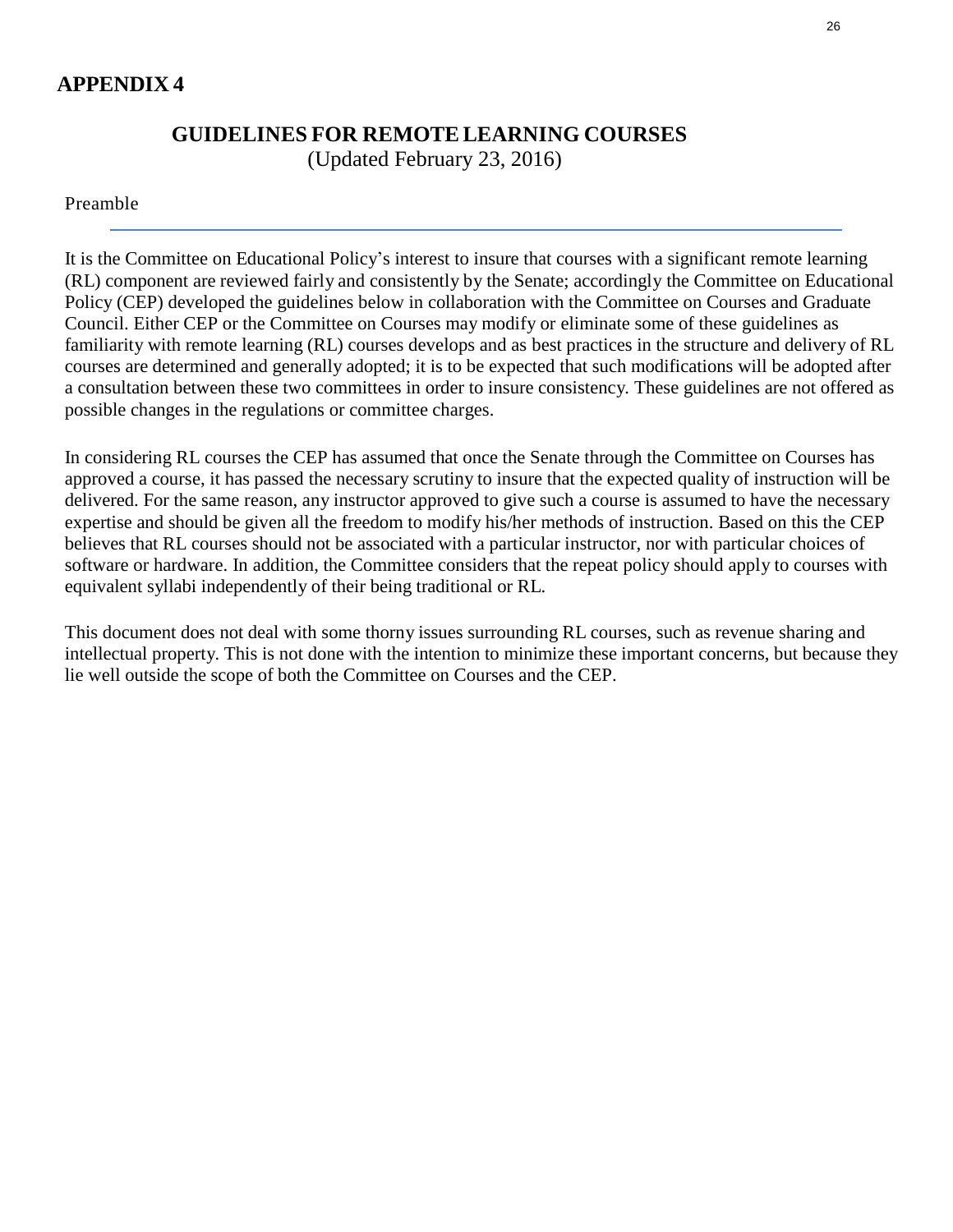# **APPENDIX 4**

# **GUIDELINES FOR REMOTELEARNING COURSES**

(Updated February 23, 2016)

## Preamble

It is the Committee on Educational Policy's interest to insure that courses with a significant remote learning (RL) component are reviewed fairly and consistently by the Senate; accordingly the Committee on Educational Policy (CEP) developed the guidelines below in collaboration with the Committee on Courses and Graduate Council. Either CEP or the Committee on Courses may modify or eliminate some of these guidelines as familiarity with remote learning (RL) courses develops and as best practices in the structure and delivery of RL courses are determined and generally adopted; it is to be expected that such modifications will be adopted after a consultation between these two committees in order to insure consistency. These guidelines are not offered as possible changes in the regulations or committee charges.

In considering RL courses the CEP has assumed that once the Senate through the Committee on Courses has approved a course, it has passed the necessary scrutiny to insure that the expected quality of instruction will be delivered. For the same reason, any instructor approved to give such a course is assumed to have the necessary expertise and should be given all the freedom to modify his/her methods of instruction. Based on this the CEP believes that RL courses should not be associated with a particular instructor, nor with particular choices of software or hardware. In addition, the Committee considers that the repeat policy should apply to courses with equivalent syllabi independently of their being traditional or RL.

This document does not deal with some thorny issues surrounding RL courses, such as revenue sharing and intellectual property. This is not done with the intention to minimize these important concerns, but because they lie well outside the scope of both the Committee on Courses and the CEP.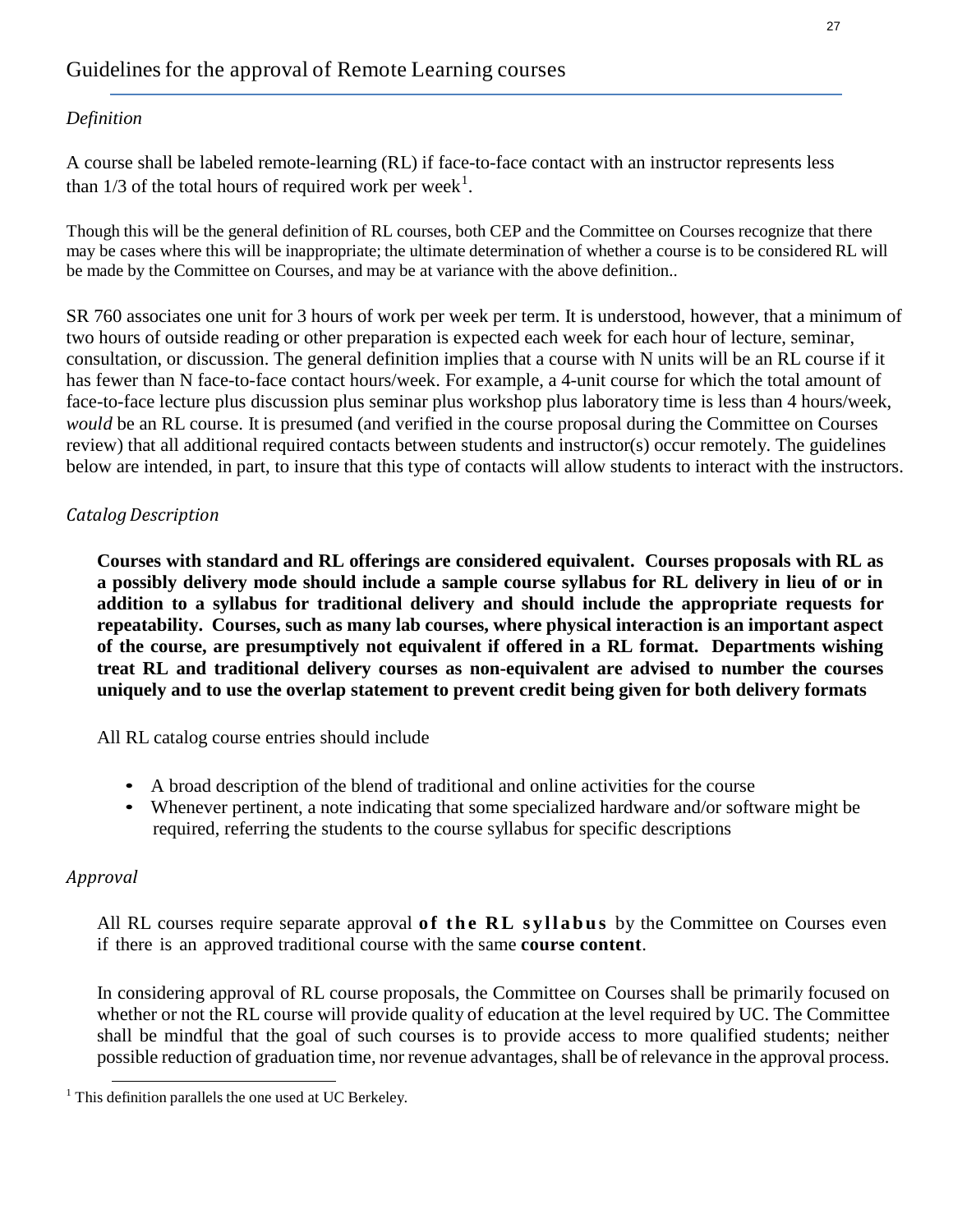## *Definition*

A course shall be labeled remote-learning (RL) if face-to-face contact with an instructor represents less than  $1/3$  of the total hours of required work per week<sup>1</sup>.

Though this will be the general definition of RL courses, both CEP and the Committee on Courses recognize that there may be cases where this will be inappropriate; the ultimate determination of whether a course is to be considered RL will be made by the Committee on Courses, and may be at variance with the above definition..

SR 760 associates one unit for 3 hours of work per week per term. It is understood, however, that a minimum of two hours of outside reading or other preparation is expected each week for each hour of lecture, seminar, consultation, or discussion. The general definition implies that a course with N units will be an RL course if it has fewer than N face-to-face contact hours/week. For example, a 4-unit course for which the total amount of face-to-face lecture plus discussion plus seminar plus workshop plus laboratory time is less than 4 hours/week, *would* be an RL course. It is presumed (and verified in the course proposal during the Committee on Courses review) that all additional required contacts between students and instructor(s) occur remotely. The guidelines below are intended, in part, to insure that this type of contacts will allow students to interact with the instructors.

## *CatalogDescription*

**Courses with standard and RL offerings are considered equivalent. Courses proposals with RL as a possibly delivery mode should include a sample course syllabus for RL delivery in lieu of or in addition to a syllabus for traditional delivery and should include the appropriate requests for repeatability. Courses, such as many lab courses, where physical interaction is an important aspect of the course, are presumptively not equivalent if offered in a RL format. Departments wishing treat RL and traditional delivery courses as non-equivalent are advised to number the courses uniquely and to use the overlap statement to prevent credit being given for both delivery formats**

All RL catalog course entries should include

- A broad description of the blend of traditional and online activities for the course
- Whenever pertinent, a note indicating that some specialized hardware and/or software might be required, referring the students to the course syllabus for specific descriptions

## *Approval*

All RL courses require separate approval of the RL syllabus by the Committee on Courses even if there is an approved traditional course with the same **course content**.

In considering approval of RL course proposals, the Committee on Courses shall be primarily focused on whether or not the RL course will provide quality of education at the level required by UC. The Committee shall be mindful that the goal of such courses is to provide access to more qualified students; neither possible reduction of graduation time, nor revenue advantages, shall be of relevance in the approval process.

 $<sup>1</sup>$  This definition parallels the one used at UC Berkeley.</sup>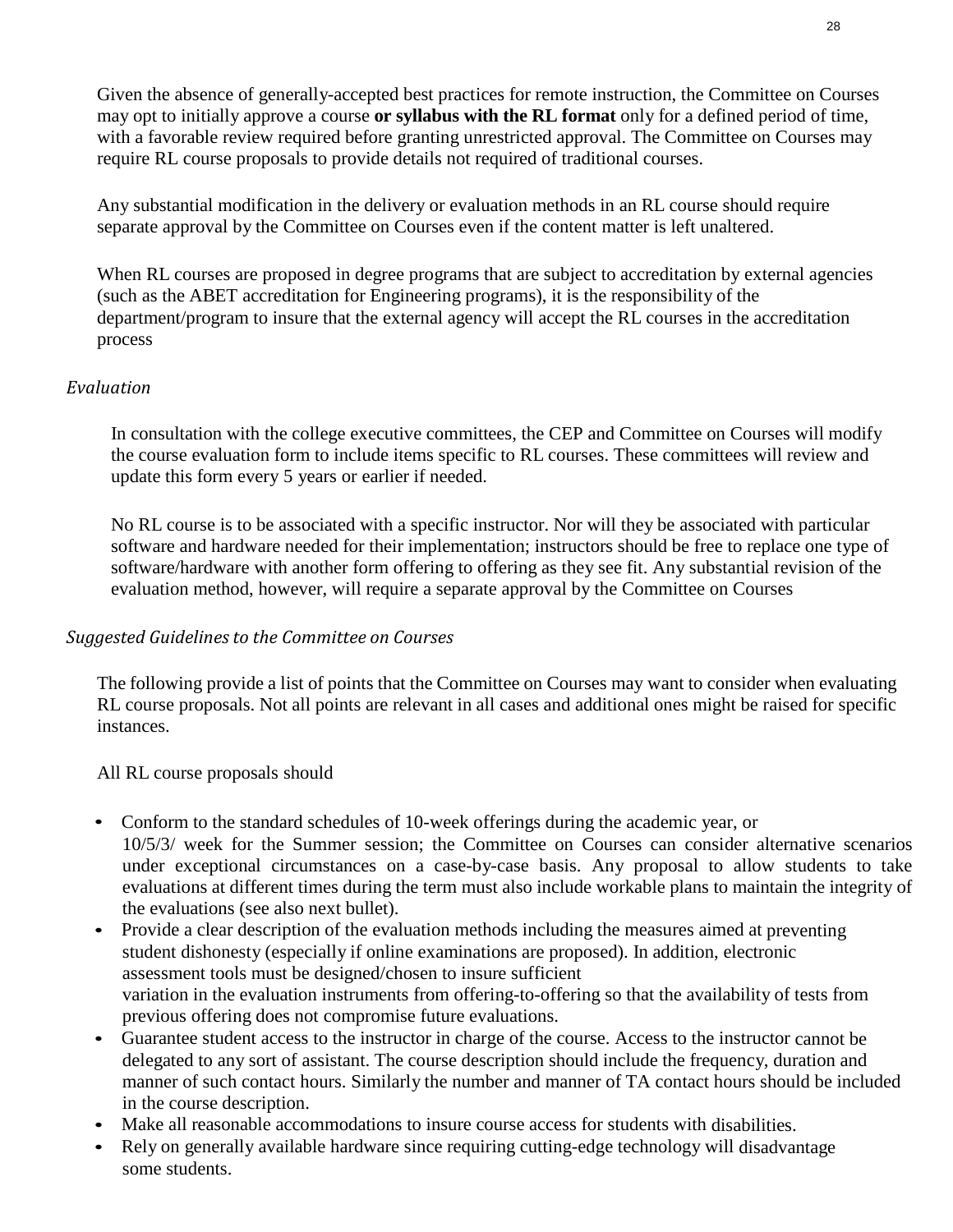Given the absence of generally-accepted best practices for remote instruction, the Committee on Courses may opt to initially approve a course **or syllabus with the RL format** only for a defined period of time, with a favorable review required before granting unrestricted approval. The Committee on Courses may require RL course proposals to provide details not required of traditional courses.

Any substantial modification in the delivery or evaluation methods in an RL course should require separate approval by the Committee on Courses even if the content matter is left unaltered.

When RL courses are proposed in degree programs that are subject to accreditation by external agencies (such as the ABET accreditation for Engineering programs), it is the responsibility of the department/program to insure that the external agency will accept the RL courses in the accreditation process

## *Evaluation*

In consultation with the college executive committees, the CEP and Committee on Courses will modify the course evaluation form to include items specific to RL courses. These committees will review and update this form every 5 years or earlier if needed.

No RL course is to be associated with a specific instructor. Nor will they be associated with particular software and hardware needed for their implementation; instructors should be free to replace one type of software/hardware with another form offering to offering as they see fit. Any substantial revision of the evaluation method, however, will require a separate approval by the Committee on Courses

## *Suggested Guidelinesto the Committee on Courses*

The following provide a list of points that the Committee on Courses may want to consider when evaluating RL course proposals. Not all points are relevant in all cases and additional ones might be raised for specific instances.

All RL course proposals should

- Conform to the standard schedules of 10-week offerings during the academic year, or 10/5/3/ week for the Summer session; the Committee on Courses can consider alternative scenarios under exceptional circumstances on a case-by-case basis. Any proposal to allow students to take evaluations at different times during the term must also include workable plans to maintain the integrity of the evaluations (see also next bullet).
- Provide a clear description of the evaluation methods including the measures aimed at preventing student dishonesty (especially if online examinations are proposed). In addition, electronic assessment tools must be designed/chosen to insure sufficient variation in the evaluation instruments from offering-to-offering so that the availability of tests from previous offering does not compromise future evaluations.
- Guarantee student access to the instructor in charge of the course. Access to the instructor cannot be delegated to any sort of assistant. The course description should include the frequency, duration and manner of such contact hours. Similarly the number and manner of TA contact hours should be included in the course description.
- Make all reasonable accommodations to insure course access for students with disabilities.
- Rely on generally available hardware since requiring cutting-edge technology will disadvantage some students.